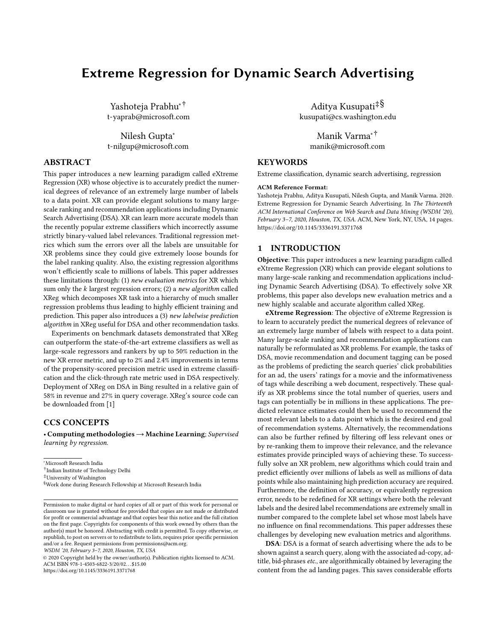# Extreme Regression for Dynamic Search Advertising

Yashoteja Prabhu∗† t-yaprab@microsoft.com

Nilesh Gupta<sup>∗</sup> t-nilgup@microsoft.com

# ABSTRACT

This paper introduces a new learning paradigm called eXtreme Regression (XR) whose objective is to accurately predict the numerical degrees of relevance of an extremely large number of labels to a data point. XR can provide elegant solutions to many largescale ranking and recommendation applications including Dynamic Search Advertising (DSA). XR can learn more accurate models than the recently popular extreme classifiers which incorrectly assume strictly binary-valued label relevances. Traditional regression metrics which sum the errors over all the labels are unsuitable for XR problems since they could give extremely loose bounds for the label ranking quality. Also, the existing regression algorithms won't efficiently scale to millions of labels. This paper addresses these limitations through: (1) new evaluation metrics for XR which sum only the  $k$  largest regression errors; (2) a new algorithm called XReg which decomposes XR task into a hierarchy of much smaller regression problems thus leading to highly efficient training and prediction. This paper also introduces a (3) new labelwise prediction algorithm in XReg useful for DSA and other recommendation tasks.

Experiments on benchmark datasets demonstrated that XReg can outperform the state-of-the-art extreme classifiers as well as large-scale regressors and rankers by up to 50% reduction in the new XR error metric, and up to 2% and 2.4% improvements in terms of the propensity-scored precision metric used in extreme classification and the click-through rate metric used in DSA respectively. Deployment of XReg on DSA in Bing resulted in a relative gain of 58% in revenue and 27% in query coverage. XReg's source code can be downloaded from [\[1\]](#page-8-0)

# CCS CONCEPTS

• Computing methodologies→Machine Learning; Supervised learning by regression.

WSDM '20, February 3–7, 2020, Houston, TX, USA

© 2020 Copyright held by the owner/author(s). Publication rights licensed to ACM. ACM ISBN 978-1-4503-6822-3/20/02. . . \$15.00 <https://doi.org/10.1145/3336191.3371768>

Aditya Kusupati‡§ kusupati@cs.washington.edu

Manik Varma∗† manik@microsoft.com

# **KEYWORDS**

Extreme classification, dynamic search advertising, regression

#### ACM Reference Format:

Yashoteja Prabhu, Aditya Kusupati, Nilesh Gupta, and Manik Varma. 2020. Extreme Regression for Dynamic Search Advertising. In The Thirteenth ACM International Conference on Web Search and Data Mining (WSDM '20), February 3–7, 2020, Houston, TX, USA. ACM, New York, NY, USA, [14](#page-13-0) pages. <https://doi.org/10.1145/3336191.3371768>

#### <span id="page-0-0"></span>1 INTRODUCTION

Objective: This paper introduces a new learning paradigm called eXtreme Regression (XR) which can provide elegant solutions to many large-scale ranking and recommendation applications including Dynamic Search Advertising (DSA). To effectively solve XR problems, this paper also develops new evaluation metrics and a new highly scalable and accurate algorithm called XReg.

eXtreme Regression: The objective of eXtreme Regression is to learn to accurately predict the numerical degrees of relevance of an extremely large number of labels with respect to a data point. Many large-scale ranking and recommendation applications can naturally be reformulated as XR problems. For example, the tasks of DSA, movie recommendation and document tagging can be posed as the problems of predicting the search queries' click probabilities for an ad, the users' ratings for a movie and the informativeness of tags while describing a web document, respectively. These qualify as XR problems since the total number of queries, users and tags can potentially be in millions in these applications. The predicted relevance estimates could then be used to recommend the most relevant labels to a data point which is the desired end goal of recommendation systems. Alternatively, the recommendations can also be further refined by filtering off less relevant ones or by re-ranking them to improve their relevance, and the relevance estimates provide principled ways of achieving these. To successfully solve an XR problem, new algorithms which could train and predict efficiently over millions of labels as well as millions of data points while also maintaining high prediction accuracy are required. Furthermore, the definition of accuracy, or equivalently regression error, needs to be redefined for XR settings where both the relevant labels and the desired label recommendations are extremely small in number compared to the complete label set whose most labels have no influence on final recommendations. This paper addresses these challenges by developing new evaluation metrics and algorithms.

DSA: DSA is a format of search advertising where the ads to be shown against a search query, along with the associated ad-copy, adtitle, bid-phrases etc., are algorithmically obtained by leveraging the content from the ad landing pages. This saves considerable efforts

<sup>∗</sup>Microsoft Research India

<sup>†</sup> Indian Institute of Technology Delhi

<sup>‡</sup>University of Washington

<sup>§</sup>Work done during Research Fellowship at Microsoft Research India

Permission to make digital or hard copies of all or part of this work for personal or classroom use is granted without fee provided that copies are not made or distributed for profit or commercial advantage and that copies bear this notice and the full citation on the first page. Copyrights for components of this work owned by others than the author(s) must be honored. Abstracting with credit is permitted. To copy otherwise, or republish, to post on servers or to redistribute to lists, requires prior specific permission and/or a fee. Request permissions from permissions@acm.org.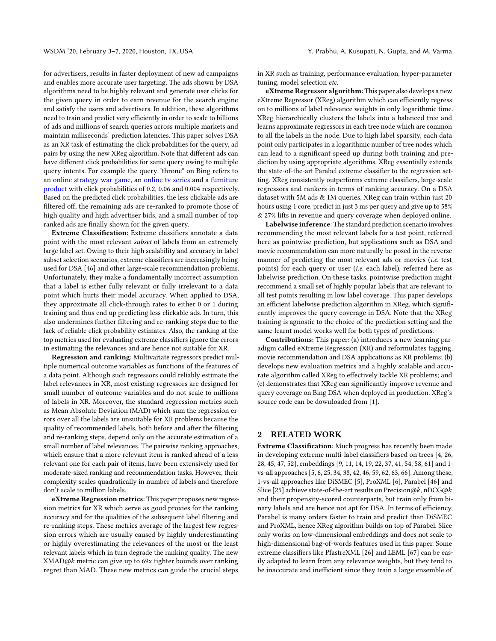for advertisers, results in faster deployment of new ad campaigns and enables more accurate user targeting. The ads shown by DSA algorithms need to be highly relevant and generate user clicks for the given query in order to earn revenue for the search engine and satisfy the users and advertisers. In addition, these algorithms need to train and predict very efficiently in order to scale to billions of ads and millions of search queries across multiple markets and maintain milliseconds' prediction latencies. This paper solves DSA as an XR task of estimating the click probabilities for the query, ad pairs by using the new XReg algorithm. Note that different ads can have different click probabilities for same query owing to multiple query intents. For example the query "throne" on Bing refers to an [online strategy war game,](https://plarium.com/landings/en/throne/top_s) an [online tv series](https://hbo.com/game-of-thrones) and a [furniture](https://ebay.com/sch/i.html?_nkw=throne+chair) [product](https://ebay.com/sch/i.html?_nkw=throne+chair) with click probabilities of 0.2, 0.06 and 0.004 respectively. Based on the predicted click probabilities, the less clickable ads are filtered off, the remaining ads are re-ranked to promote those of high quality and high advertiser bids, and a small number of top ranked ads are finally shown for the given query.

Extreme Classification: Extreme classifiers annotate a data point with the most relevant subset of labels from an extremely large label set. Owing to their high scalability and accuracy in label subset selection scenarios, extreme classifiers are increasingly being used for DSA [\[46\]](#page-8-1) and other large-scale recommendation problems. Unfortunately, they make a fundamentally incorrect assumption that a label is either fully relevant or fully irrelevant to a data point which hurts their model accuracy. When applied to DSA, they approximate all click-through rates to either 0 or 1 during training and thus end up predicting less clickable ads. In turn, this also undermines further filtering and re-ranking steps due to the lack of reliable click probability estimates. Also, the ranking at the top metrics used for evaluating extreme classifiers ignore the errors in estimating the relevances and are hence not suitable for XR.

Regression and ranking: Multivariate regressors predict multiple numerical outcome variables as functions of the features of a data point. Although such regressors could reliably estimate the label relevances in XR, most existing regressors are designed for small number of outcome variables and do not scale to millions of labels in XR. Moreover, the standard regression metrics such as Mean Absolute Deviation (MAD) which sum the regression errors over all the labels are unsuitable for XR problems because the quality of recommended labels, both before and after the filtering and re-ranking steps, depend only on the accurate estimation of a small number of label relevances. The pairwise ranking approaches, which ensure that a more relevant item is ranked ahead of a less relevant one for each pair of items, have been extensively used for moderate-sized ranking and recommendation tasks. However, their complexity scales quadratically in number of labels and therefore don't scale to million labels.

eXtreme Regression metrics: This paper proposes new regression metrics for XR which serve as good proxies for the ranking accuracy and for the qualities of the subsequent label filtering and re-ranking steps. These metrics average of the largest few regression errors which are usually caused by highly underestimating or highly overestimating the relevances of the most or the least relevant labels which in turn degrade the ranking quality. The new XMAD@k metric can give up to 69x tighter bounds over ranking regret than MAD. These new metrics can guide the crucial steps

in XR such as training, performance evaluation, hyper-parameter tuning, model selection etc.

eXtreme Regressor algorithm: This paper also develops a new eXtreme Regressor (XReg) algorithm which can efficiently regress on to millions of label relevance weights in only logarithmic time. XReg hierarchically clusters the labels into a balanced tree and learns approximate regressors in each tree node which are common to all the labels in the node. Due to high label sparsity, each data point only participates in a logarithmic number of tree nodes which can lead to a significant speed up during both training and prediction by using appropriate algorithms. XReg essentially extends the state-of-the-art Parabel extreme classifier to the regression setting. XReg consistently outperforms extreme classifiers, large-scale regressors and rankers in terms of ranking accuracy. On a DSA dataset with 5M ads & 1M queries, XReg can train within just 20 hours using 1 core, predict in just 3 ms per query and give up to 58% & 27% lifts in revenue and query coverage when deployed online.

Labelwise inference: The standard prediction scenario involves recommending the most relevant labels for a test point, referred here as pointwise prediction, but applications such as DSA and movie recommendation can more naturally be posed in the reverse manner of predicting the most relevant ads or movies (i.e. test points) for each query or user (i.e. each label), referred here as labelwise prediction. On these tasks, pointwise prediction might recommend a small set of highly popular labels that are relevant to all test points resulting in low label coverage. This paper develops an efficient labelwise prediction algorithm in XReg, which significantly improves the query coverage in DSA. Note that the XReg training is agnostic to the choice of the prediction setting and the same learnt model works well for both types of predictions.

Contributions: This paper: (a) introduces a new learning paradigm called eXtreme Regression (XR) and reformulates tagging, movie recommendation and DSA applications as XR problems; (b) develops new evaluation metrics and a highly scalable and accurate algorithm called XReg to effectively tackle XR problems; and (c) demonstrates that XReg can significantly improve revenue and query coverage on Bing DSA when deployed in production. XReg's source code can be downloaded from [\[1\]](#page-8-0).

# 2 RELATED WORK

Extreme Classification: Much progress has recently been made in developing extreme multi-label classifiers based on trees [\[4,](#page-8-2) [26,](#page-8-3) [28,](#page-8-4) [45,](#page-8-5) [47,](#page-8-6) [52\]](#page-8-7), embeddings [\[9,](#page-8-8) [11,](#page-8-9) [14,](#page-8-10) [19,](#page-8-11) [22,](#page-8-12) [37,](#page-8-13) [41,](#page-8-14) [54,](#page-8-15) [58,](#page-8-16) [61\]](#page-8-17) and 1 vs-all approaches [\[5,](#page-8-18) [6,](#page-8-19) [25,](#page-8-20) [34,](#page-8-21) [38,](#page-8-22) [42,](#page-8-23) [46,](#page-8-1) [59,](#page-8-24) [62,](#page-8-25) [63,](#page-8-26) [66\]](#page-8-27). Among these, 1-vs-all approaches like DiSMEC [\[5\]](#page-8-18), ProXML [\[6\]](#page-8-19), Parabel [\[46\]](#page-8-1) and Slice [\[25\]](#page-8-20) achieve state-of-the-art results on Precision@k, nDCG@k and their propensity-scored counterparts, but train only from binary labels and are hence not apt for DSA. In terms of efficiency, Parabel is many orders faster to train and predict than DiSMEC and ProXML, hence XReg algorithm builds on top of Parabel. Slice only works on low-dimensional embeddings and does not scale to high-dimensional bag-of-words features used in this paper. Some extreme classifiers like PfastreXML [\[26\]](#page-8-3) and LEML [\[67\]](#page-8-28) can be easily adapted to learn from any relevance weights, but they tend to be inaccurate and inefficient since they train a large ensemble of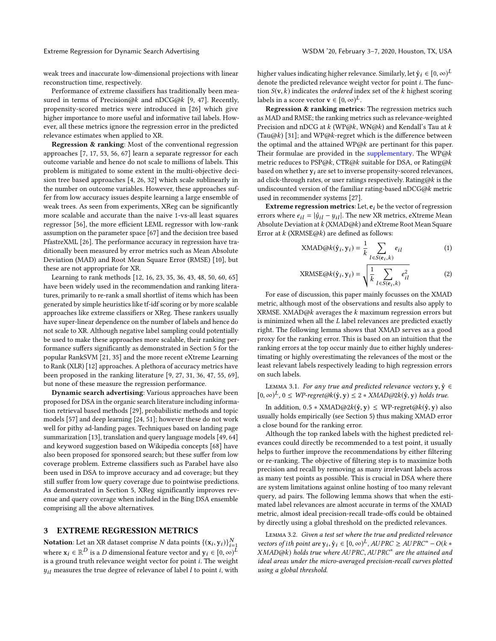weak trees and inaccurate low-dimensional projections with linear reconstruction time, respectively.

Performance of extreme classifiers has traditionally been mea-sured in terms of Precision@k and nDCG@k [\[9,](#page-8-8) [47\]](#page-8-6). Recently, propensity-scored metrics were introduced in [\[26\]](#page-8-3) which give higher importance to more useful and informative tail labels. However, all these metrics ignore the regression error in the predicted relevance estimates when applied to XR.

Regression & ranking: Most of the conventional regression approaches [\[7,](#page-8-29) [17,](#page-8-30) [53,](#page-8-31) [56,](#page-8-32) [67\]](#page-8-28) learn a separate regressor for each outcome variable and hence do not scale to millions of labels. This problem is mitigated to some extent in the multi-objective decision tree based approaches [\[4,](#page-8-2) [26,](#page-8-3) [32\]](#page-8-33) which scale sublinearly in the number on outcome variables. However, these approaches suffer from low accuracy issues despite learning a large ensemble of weak trees. As seen from experiments, XReg can be significantly more scalable and accurate than the naive 1-vs-all least squares regressor [\[56\]](#page-8-32), the more efficient LEML regressor with low-rank assumption on the parameter space [\[67\]](#page-8-28) and the decision tree based PfastreXML [\[26\]](#page-8-3). The performance accuracy in regression have traditionally been measured by error metrics such as Mean Absolute Deviation (MAD) and Root Mean Square Error (RMSE) [\[10\]](#page-8-34), but these are not appropriate for XR.

Learning to rank methods [\[12,](#page-8-35) [16,](#page-8-36) [23,](#page-8-37) [35,](#page-8-38) [36,](#page-8-39) [43,](#page-8-40) [48,](#page-8-41) [50,](#page-8-42) [60,](#page-8-43) [65\]](#page-8-44) have been widely used in the recommendation and ranking literatures, primarily to re-rank a small shortlist of items which has been generated by simple heuristics like tf-idf scoring or by more scalable approaches like extreme classifiers or XReg. These rankers usually have super-linear dependence on the number of labels and hence do not scale to XR. Although negative label sampling could potentially be used to make these approaches more scalable, their ranking performance suffers significantly as demonstrated in Section [5](#page-4-0) for the popular RankSVM [\[21,](#page-8-45) [35\]](#page-8-38) and the more recent eXtreme Learning to Rank (XLR) [\[12\]](#page-8-35) approaches. A plethora of accuracy metrics have been proposed in the ranking literature [\[9,](#page-8-8) [27,](#page-8-46) [31,](#page-8-47) [36,](#page-8-39) [47,](#page-8-6) [55,](#page-8-48) [69\]](#page-8-49), but none of these measure the regression performance.

Dynamic search advertising: Various approaches have been proposed for DSA in the organic search literature including information retrieval based methods [\[29\]](#page-8-50), probabilistic methods and topic models [\[57\]](#page-8-51) and deep learning [\[24,](#page-8-52) [51\]](#page-8-53); however these do not work well for pithy ad-landing pages. Techniques based on landing page summarization [\[13\]](#page-8-54), translation and query language models [\[49,](#page-8-55) [64\]](#page-8-56) and keyword suggestion based on Wikipedia concepts [\[68\]](#page-8-57) have also been proposed for sponsored search; but these suffer from low coverage problem. Extreme classifiers such as Parabel have also been used in DSA to improve accuracy and ad coverage; but they still suffer from low query coverage due to pointwise predictions. As demonstrated in Section [5,](#page-4-0) XReg significantly improves revenue and query coverage when included in the Bing DSA ensemble comprising all the above alternatives.

### <span id="page-2-0"></span>3 EXTREME REGRESSION METRICS

**Notation:** Let an XR dataset comprise N data points  $\{(x_i, y_i)\}_{i=1}^N$ **Notation:** Let an XR dataset comprise N data points  $\{(x_i, y_i)\}_{i=1}^T$ <br>where  $x_i \in \mathbb{R}^D$  is a D dimensional feature vector and  $y_i \in [0, \infty)^L$ <br>is a ground truth relevance weight vector for point *i*. The weight is a ground truth relevance weight vector for point i. The weight  $y_{il}$  measures the true degree of relevance of label  $l$  to point  $i$ , with higher values indicating higher relevance. Similarly, let  $\hat{y}_i \in [0, \infty)^L$ denote the predicted relevance weight vector for point i. The function  $S(\mathbf{v}, k)$  indicates the *ordered* index set of the k highest scoring labels in a score vector  $\mathbf{v} \in [0, \infty)^L$ .<br>**Regression & raplying metrics** 

Regression & ranking metrics: The regression metrics such as MAD and RMSE; the ranking metrics such as relevance-weighted Precision and nDCG at  $k$  (WP@k, WN@k) and Kendall's Tau at  $k$ (Tau@k) [\[31\]](#page-8-47); and WP@k-regret which is the difference between the optimal and the attained WP@ $k$  are pertinant for this paper. Their formulae are provided in the [supplementary.](http://manikvarma.org/pubs/prabhu20-supp.pdf) The  $WP@k$ metric reduces to  $PSP@k$ , CTR@k suitable for DSA, or Rating@k based on whether  $y_i$  are set to inverse propensity-scored relevances, ad click-through rates, or user ratings respectively. Rating@k is the undiscounted version of the familiar rating-based nDCG@k metric used in recommender systems [\[27\]](#page-8-46).

Extreme regression metrics: Let,  $e_i$  be the vector of regression errors where  $e_{i,l} = |\hat{y}_{i,l} - y_{i,l}|$ . The new XR metrics, eXtreme Mean Absolute Deviation at k (XMAD@k) and eXtreme Root Mean Square Error at  $k$  (XRMSE@ $k$ ) are defined as follows:

$$
XMAD@k(\hat{\mathbf{y}}_i, \mathbf{y}_i) = \frac{1}{k} \sum_{l \in S(\mathbf{e}_i, k)} e_{il}
$$
 (1)

$$
XRMSE@k(\hat{y}_i, y_i) = \sqrt{\frac{1}{k} \sum_{l \in S(e_i, k)} e_{il}^2}
$$
 (2)

For ease of discussion, this paper mainly focusses on the XMAD metric, although most of the observations and results also apply to XRMSE. XMAD@ $k$  averages the  $k$  maximum regression errors but is minimized when all the L label relevances are predicted exactly right. The following lemma shows that XMAD serves as a good proxy for the ranking error. This is based on an intuition that the ranking errors at the top occur mainly due to either highly underestimating or highly overestimating the relevances of the most or the least relevant labels respectively leading to high regression errors on such labels.

LEMMA 3.1. For any true and predicted relevance vectors  $y, \hat{y} \in$  $[0, \infty)^L$ ,  $0 \leq W$ P-regret@k $(\hat{y}, y) \leq 2 * X$ MAD@2k $(\hat{y}, y)$  holds true.

In addition,  $0.5 * XMAD@2k(\hat{y}, y) \le WP-regret@k(\hat{y}, y)$  also usually holds empirically (see Section [5\)](#page-4-0) thus making XMAD error a close bound for the ranking error.

Although the top ranked labels with the highest predicted relevances could directly be recommended to a test point, it usually helps to further improve the recommendations by either filtering or re-ranking. The objective of filtering step is to maximize both precision and recall by removing as many irrelevant labels across as many test points as possible. This is crucial in DSA where there are system limitations against online hosting of too many relevant query, ad pairs. The following lemma shows that when the estimated label relevances are almost accurate in terms of the XMAD metric, almost ideal precision-recall trade-offs could be obtained by directly using a global threshold on the predicted relevances.

Lemma 3.2. Given a test set where the true and predicted relevance vectors of ith point are  $y_i$ ,  $\hat{y}_i \in [0, \infty)^L$ , AUPRC  $\geq$  AUPRC<sup>\*</sup> –  $O(k \times MAD\odot k)$  holds true where AUPPC. AUPPC<sup>\*</sup> are the attained and XMAD@k) holds true where AUPRC, AUPRC<sup>\*</sup> are the attained and ideal areas under the micro-averaged precision-recall curves plotted using a global threshold.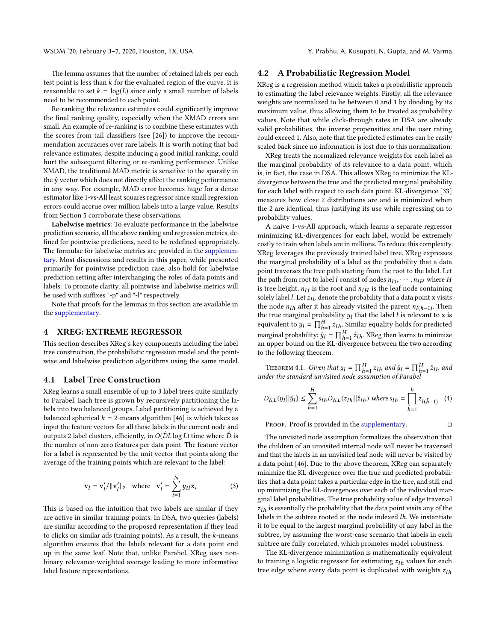The lemma assumes that the number of retained labels per each test point is less than  $k$  for the evaluated region of the curve. It is reasonable to set  $k = \log(L)$  since only a small number of labels need to be recommended to each point.

Re-ranking the relevance estimates could significantly improve the final ranking quality, especially when the XMAD errors are small. An example of re-ranking is to combine these estimates with the scores from tail classifiers (see [\[26\]](#page-8-3)) to improve the recommendation accuracies over rare labels. It is worth noting that bad relevance estimates, despite inducing a good initial ranking, could hurt the subsequent filtering or re-ranking performance. Unlike XMAD, the traditional MAD metric is sensitive to the sparsity in the  $\hat{y}$  vector which does not directly affect the ranking performance in any way. For example, MAD error becomes huge for a dense estimator like 1-vs-All least squares regressor since small regression errors could accrue over million labels into a large value. Results from Section [5](#page-4-0) corroborate these observations.

Labelwise metrics: To evaluate performance in the labelwise prediction scenario, all the above ranking and regression metrics, defined for pointwise predictions, need to be redefined appropriately. The formulae for labelwise metrics are provided in the [supplemen](http://manikvarma.org/pubs/prabhu20-supp.pdf)[tary.](http://manikvarma.org/pubs/prabhu20-supp.pdf) Most discussions and results in this paper, while presented primarily for pointwise prediction case, also hold for labelwise prediction setting after interchanging the roles of data points and labels. To promote clarity, all pointwise and labelwise metrics will be used with suffixes "-p" and "-l" respectively.

Note that proofs for the lemmas in this section are available in the [supplementary.](http://manikvarma.org/pubs/prabhu20-supp.pdf)

#### 4 XREG: EXTREME REGRESSOR

This section describes XReg's key components including the label tree construction, the probabilistic regression model and the pointwise and labelwise prediction algorithms using the same model.

#### 4.1 Label Tree Construction

XReg learns a small ensemble of up to 3 label trees quite similarly to Parabel. Each tree is grown by recursively partitioning the labels into two balanced groups. Label partitioning is achieved by a balanced spherical  $k = 2$ -means algorithm [\[46\]](#page-8-1) is which takes as input the feature vectors for all those labels in the current node and outputs 2 label clusters, efficiently, in  $O(\hat{D}L \log L)$  time where  $\hat{D}$  is the number of non-zero features per data point. The feature vector for a label is represented by the unit vector that points along the average of the training points which are relevant to the label:

$$
\mathbf{v}_{l} = \mathbf{v}_{l}^{\prime}/\|\mathbf{v}_{l}^{\prime}\|_{2} \quad \text{where} \quad \mathbf{v}_{l}^{\prime} = \sum_{i=1}^{N} y_{il} \mathbf{x}_{i} \tag{3}
$$

This is based on the intuition that two labels are similar if they are active in similar training points. In DSA, two queries (labels) are similar according to the proposed representation if they lead to clicks on similar ads (training points). As a result, the  $k$ -means algorithm ensures that the labels relevant for a data point end up in the same leaf. Note that, unlike Parabel, XReg uses nonbinary relevance-weighted average leading to more informative label feature representations.

#### 4.2 A Probabilistic Regression Model

XReg is a regression method which takes a probabilistic approach to estimating the label relevance weights. Firstly, all the relevance weights are normalized to lie between 0 and 1 by dividing by its maximum value, thus allowing them to be treated as probability values. Note that while click-through rates in DSA are already valid probabilities, the inverse propensities and the user rating could exceed 1. Also, note that the predicted estimates can be easily scaled back since no information is lost due to this normalization.

XReg treats the normalized relevance weights for each label as the marginal probability of its relevance to a data point, which is, in fact, the case in DSA. This allows XReg to minimize the KLdivergence between the true and the predicted marginal probability for each label with respect to each data point. KL-divergence [\[33\]](#page-8-58) measures how close 2 distributions are and is minimized when the 2 are identical, thus justifying its use while regressing on to probability values.

A naive 1-vs-All approach, which learns a separate regressor minimizing KL-divergences for each label, would be extremely costly to train when labels are in millions. To reduce this complexity, XReg leverages the previously trained label tree. XReg expresses the marginal probability of a label as the probability that a data point traverses the tree path starting from the root to the label. Let the path from root to label *l* consist of nodes  $n_{11}, \dots, n_{IH}$  where *H* is tree height,  $n_{11}$  is the root and  $n_{12}$  is the leaf node containing is tree height,  $n_{l1}$  is the root and  $n_{lH}$  is the leaf node containing<br>solely label *L* Let zu, denote the probability that a data point **x** visite solely label  $l$ . Let  $z_{lh}$  denote the probability that a data point x visits the node  $n_{lh}$  after it has already visited the parent  $n_{l(h-1)}$ . Then<br>the true marginal probability  $u_l$  that the label *l* is relevant to **x** is the true marginal probability  $y_l$  that the label l is relevant to x is equivalent to  $u_l = \prod_{l=1}^{H} x_{l,l}$ . Similar equality holds for predicted equivalent to  $y_l = \prod_{h=1}^H z_{lh}$ . Similar equality holds for predicted equivalent to  $y_l = \prod_{h=1}^{L} z_{lh}$ . Similar equality notas for predicted<br>marginal probability:  $\hat{y}_l = \prod_{h=1}^{H} \hat{z}_{lh}$ . XReg then learns to minimize marginal probability:  $y_l = \prod_{h=1}^{L} z_{lh}$ . Akeg then learns to minimize<br>an upper bound on the KL-divergence between the two according to the following theorem.

THEOREM 4.1. Given that  $y_l = \prod_{h=1}^H z_{lh}$  and  $\hat{y}_l = \prod_{h=1}^H \hat{z}_{lh}$  and  $\hat{z}_{lh}$  and  $\hat{z}_{lh}$ THEOREM 4.1. Given that  $y_l = \prod_{h=1}^{k} z_{lh}$  and  $y_l = \prod_{h=1}^{k} z_{lh}$ <br>under the standard unvisited node assumption of Parabel

$$
D_{KL}(y_l||\hat{y}_l) \le \sum_{h=1}^{H} s_{lh} D_{KL}(z_{lh}||\hat{z}_{lh}) \text{ where } s_{lh} = \prod_{\tilde{h}=1}^{h} z_{l(\tilde{h}-1)} \quad (4)
$$

PROOF. Proof is provided in the [supplementary.](http://manikvarma.org/pubs/prabhu20-supp.pdf)  $\Box$ 

The unvisited node assumption formalizes the observation that the children of an unvisited internal node will never be traversed and that the labels in an unvisited leaf node will never be visited by a data point [\[46\]](#page-8-1). Due to the above theorem, XReg can separately minimize the KL-divergence over the true and predicted probabilities that a data point takes a particular edge in the tree, and still end up minimizing the KL-divergences over each of the individual marginal label probabilities. The true probability value of edge traversal  $z_{lh}$  is essentially the probability that the data point visits any of the labels in the subtree rooted at the node indexed lh. We instantiate it to be equal to the largest marginal probability of any label in the subtree, by assuming the worst-case scenario that labels in each subtree are fully correlated, which promotes model robustness.

The KL-divergence minimization is mathematically equivalent to training a logistic regressor for estimating  $z_{lh}$  values for each tree edge where every data point is duplicated with weights  $z_{lh}$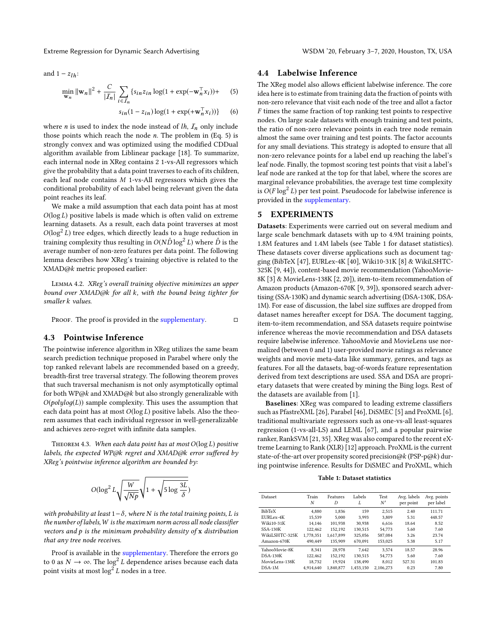Extreme Regression for Dynamic Search Advertising WSDM '20, February 3-7, 2020, Houston, TX, USA

and  $1 - z_{1h}$ :

$$
\min_{\mathbf{w}_n} \|\mathbf{w}_n\|^2 + \frac{C}{|I_n|} \sum_{i \in I_n} \{s_{in} z_{in} \log(1 + \exp(-\mathbf{w}_n^{\top} x_i)) + (5)
$$

$$
s_{in}(1-z_{in})\log(1+\exp(+\mathbf{w}_n^{\top}x_i))\} \qquad (6)
$$

where *n* is used to index the node instead of  $lh$ ,  $I_n$  only include those points which reach the node  $n$ . The problem in (Eq. [5\)](#page-4-1) is strongly convex and was optimized using the modified CDDual algorithm available from Liblinear package [\[18\]](#page-8-59). To summarize, each internal node in XReg contains 2 1-vs-All regressors which give the probability that a data point traverses to each of its children, each leaf node contains M 1-vs-All regressors which gives the conditional probability of each label being relevant given the data point reaches its leaf.

We make a mild assumption that each data point has at most  $O(\log L)$  positive labels is made which is often valid on extreme learning datasets. As a result, each data point traverses at most  $O(\log^2 L)$  tree edges, which directly leads to a huge reduction in training complexity thus resulting in  $O(N\hat{D}\log^2 L)$  where  $\hat{D}$  is the average number of non-zero features per data point. The following lemma describes how XReg's training objective is related to the XMAD@k metric proposed earlier:

Lemma 4.2. XReg's overall training objective minimizes an upper bound over XMAD@k for all k, with the bound being tighter for smaller k values.

PROOF. The proof is provided in the [supplementary.](http://manikvarma.org/pubs/prabhu20-supp.pdf)  $\Box$ 

### 4.3 Pointwise Inference

The pointwise inference algorithm in XReg utilizes the same beam search prediction technique proposed in Parabel where only the top ranked relevant labels are recommended based on a greedy, breadth-first tree traversal strategy. The following theorem proves that such traversal mechanism is not only asymptotically optimal for both WP@k and XMAD@k but also strongly generalizable with  $O(\text{polylog}(L))$  sample complexity. This uses the assumption that each data point has at most  $O(\log L)$  positive labels. Also the theorem assumes that each individual regressor in well-generalizable and achieves zero-regret with infinite data samples.

THEOREM 4.3. When each data point has at most  $O(\log L)$  positive labels, the expected WP@k regret and XMAD@k error suffered by XReg's pointwise inference algorithm are bounded by:

$$
O(\log^2 L \sqrt{\frac{W}{\sqrt{Np}}} \sqrt{1 + \sqrt{5 \log \frac{3L}{\delta}}})
$$

with probability at least  $1-\delta$ , where N is the total training points, L is the number of labels, W is the maximum norm across all node classifier vectors and  $p$  is the minimum probability density of  $x$  distribution that any tree node receives.

Proof is available in the [supplementary.](http://manikvarma.org/pubs/prabhu20-supp.pdf) Therefore the errors go to 0 as  $N \to \infty$ . The log<sup>2</sup> L dependence arises because each data point visits at most  $\log^2 L$  nodes in a tree.

### 4.4 Labelwise Inference

<span id="page-4-1"></span>The XReg model also allows efficient labelwise inference. The core idea here is to estimate from training data the fraction of points with non-zero relevance that visit each node of the tree and allot a factor F times the same fraction of top ranking test points to respective nodes. On large scale datasets with enough training and test points, the ratio of non-zero relevance points in each tree node remain almost the same over training and test points. The factor accounts for any small deviations. This strategy is adopted to ensure that all non-zero relevance points for a label end up reaching the label's leaf node. Finally, the topmost scoring test points that visit a label's leaf node are ranked at the top for that label, where the scores are marginal relevance probabilities, the average test time complexity is  $O(F \log^2 L)$  per test point. Pseudocode for labelwise inference is provided in the [supplementary.](http://manikvarma.org/pubs/prabhu20-supp.pdf)

# <span id="page-4-0"></span>5 EXPERIMENTS

Datasets: Experiments were carried out on several medium and large scale benchmark datasets with up to 4.9M training points, 1.8M features and 1.4M labels (see Table [1](#page-4-2) for dataset statistics). These datasets cover diverse applications such as document tagging (BibTeX [\[47\]](#page-8-6), EURLex-4K [\[40\]](#page-8-60), Wiki10-31K [\[8\]](#page-8-61) & WikiLSHTC-325K [\[9,](#page-8-8) [44\]](#page-8-62)), content-based movie recommendation (YahooMovie-8K [\[3\]](#page-8-63) & MovieLens-138K [\[2,](#page-8-64) [20\]](#page-8-65)), item-to-item recommendation of Amazon products (Amazon-670K [\[9,](#page-8-8) [39\]](#page-8-66)), sponsored search advertising (SSA-130K) and dynamic search advertising (DSA-130K, DSA-1M). For ease of discussion, the label size suffixes are dropped from dataset names hereafter except for DSA. The document tagging, item-to-item recommendation, and SSA datasets require pointwise inference whereas the movie recommendation and DSA datasets require labelwise inference. YahooMovie and MovieLens use normalized (between 0 and 1) user-provided movie ratings as relevance weights and movie meta-data like summary, genres, and tags as features. For all the datasets, bag-of-words feature representation derived from text descriptions are used. SSA and DSA are proprietary datasets that were created by mining the Bing logs. Rest of the datasets are available from [\[1\]](#page-8-0).

Baselines: XReg was compared to leading extreme classifiers such as PfastreXML [\[26\]](#page-8-3), Parabel [\[46\]](#page-8-1), DiSMEC [\[5\]](#page-8-18) and ProXML [\[6\]](#page-8-19), traditional multivariate regressors such as one-vs-all least-squares regression (1-vs-all-LS) and LEML [\[67\]](#page-8-28), and a popular pairwise ranker, RankSVM [\[21,](#page-8-45) [35\]](#page-8-38). XReg was also compared to the recent eXtreme Learning to Rank (XLR) [\[12\]](#page-8-35) approach. ProXML is the current state-of-the-art over propensity scored precision@k (PSP-p@k) during pointwise inference. Results for DiSMEC and ProXML, which

Table 1: Dataset statistics

<span id="page-4-2"></span>

| Dataset        | Train<br>N | Features<br>D | Labels<br>L | Test<br>N' | Avg. labels<br>per point | Avg. points<br>per label |
|----------------|------------|---------------|-------------|------------|--------------------------|--------------------------|
| <b>BibTeX</b>  | 4.880      | 1.836         | 159         | 2.515      | 2.40                     | 111.71                   |
| EURLex-4K      | 15.539     | 5.000         | 3.993       | 3.809      | 5.31                     | 448.57                   |
| Wiki10-31K     | 14.146     | 101.938       | 30.938      | 6.616      | 18.64                    | 8.52                     |
| $SSA-130K$     | 122.462    | 152.192       | 130.515     | 54.773     | 5.60                     | 7.60                     |
| WikiLSHTC-325K | 1.778.351  | 1.617.899     | 325.056     | 587.084    | 3.26                     | 23.74                    |
| Amazon-670K    | 490.449    | 135,909       | 670.091     | 153.025    | 5.38                     | 5.17                     |
| YahooMovie-8K  | 8.341      | 28,978        | 7.642       | 3.574      | 18.57                    | 28.96                    |
| $DSA-130K$     | 122.462    | 152.192       | 130.515     | 54.773     | 5.60                     | 7.60                     |
| MovieLens-138K | 18.732     | 19.924        | 138,490     | 8.012      | 527.31                   | 101.83                   |
| $DSA-1M$       | 4.914.640  | 1.840.877     | 1.453.150   | 2.106.273  | 0.23                     | 7.80                     |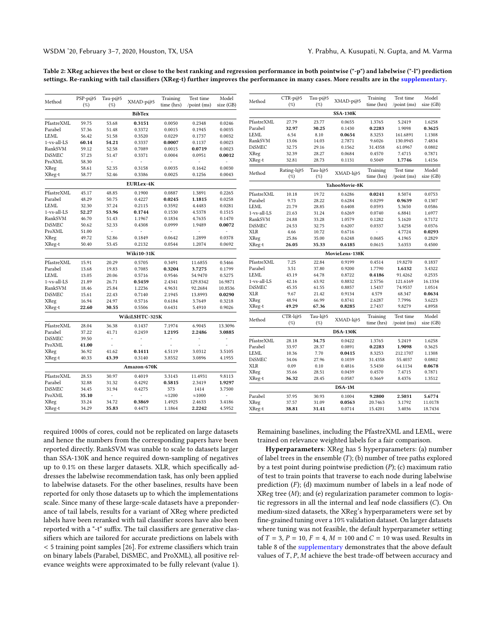<span id="page-5-0"></span>Table 2: XReg achieves the best or close to the best ranking and regression performance in both pointwise ("-p") and labelwise ("-l") prediction settings. Re-ranking with tail classifiers (XReg-t) further improves the performance in many cases. More results are in the [supplementary.](http://manikvarma.org/pubs/prabhu20-supp.pdf)

| Method        | $PSP-p@5$ | Tau-p@5 | XMAD-p@5          | Training       | Test time           | Model     |
|---------------|-----------|---------|-------------------|----------------|---------------------|-----------|
|               | $(\%)$    | (%)     |                   | time (hrs)     | $\gamma$ point (ms) | size (GB) |
|               |           |         | <b>BibTex</b>     |                |                     |           |
| PfastreXML    | 59.75     | 53.68   | 0.3151            | 0.0050         | 0.2348              | 0.0246    |
| Parabel       | 57.36     | 51.48   | 0.3372            | 0.0015         | 0.1945              | 0.0035    |
| <b>LEML</b>   | 56.42     | 51.58   | 0.3520            | 0.0229         | 0.1737              | 0.0032    |
| 1-vs-all-LS   | 60.14     | 54.21   | 0.3337            | 0.0007         | 0.1137              | 0.0023    |
| RankSVM       | 59.12     | 52.58   | 0.7089            | 0.0015         | 0.0719              | 0.0023    |
| <b>DiSMEC</b> | 57.23     | 51.47   | 0.3371            | 0.0004         | 0.0951              | 0.0012    |
| ProXML        | 58.30     | ÷       |                   |                | ÷,                  |           |
| XReg          | 58.61     | 52.35   | 0.3158            | 0.0035         | 0.1642              | 0.0030    |
| XReg-t        | 58.77     | 52.46   | 0.3386            | 0.0025         | 0.1256              | 0.0043    |
|               |           |         | <b>EURLex-4K</b>  |                |                     |           |
| PfastreXML    | 45.17     | 48.85   | 0.1900            | 0.0887         | 1.3891              | 0.2265    |
| Parabel       | 48.29     | 50.75   | 0.4227            | 0.0245         | 1.1815              | 0.0258    |
| LEML          | 32.30     | 37.24   | 0.2115            | 0.3592         | 4.4483              | 0.0281    |
| 1-vs-all-LS   | 52.27     | 53.96   | 0.1744            | 0.1530         | 4.5378              | 0.1515    |
| RankSVM       | 46.70     | 51.43   | 1.1967            | 0.1834         | 4.7635              | 0.1470    |
| <b>DiSMEC</b> | 50.62     | 52.33   | 0.4308            | 0.0999         | 1.9489              | 0.0072    |
| ProXML        | 51.00     | ä,      |                   |                | $\overline{a}$      |           |
| XReg          | 49.72     | 52.86   | 0.1849            | 0.0642         | 1.2899              | 0.0378    |
| XReg-t        | 50.40     | 53.45   | 0.2132            | 0.0544         | 1.2074              | 0.0692    |
|               |           |         | <b>Wiki10-31K</b> |                |                     |           |
| PfastreXML    | 15.91     | 20.29   | 0.5705            | 0.3491         | 11.6855             | 0.5466    |
| Parabel       | 13.68     | 19.83   | 0.7085            | 0.3204         | 3.7275              | 0.1799    |
| LEML          | 13.05     | 20.06   | 0.5716            | 0.9546         | 54.9470             | 0.5275    |
| 1-vs-all-LS   | 21.89     | 26.71   | 0.5459            | 2.4341         | 129.8342            | 16.9871   |
| RankSVM       | 18.46     | 25.84   | 1.2236            | 4.9631         | 92.2684             | 10.8536   |
| <b>DiSMEC</b> | 15.61     | 22.43   | 0.7140            | 2.1945         | 13.8993             | 0.0290    |
| XReg          | 16.94     | 24.97   | 0.5716            | 0.6184         | 3.7649              | 0.3218    |
| XReg-t        | 22.60     | 30.55   | 0.5506            | 0.6431         | 5.4910              | 0.9026    |
|               |           |         | WikiLSHTC-325K    |                |                     |           |
| PfastreXML    | 28.04     | 36.38   | 0.1437            | 7.1974         | 6.9045              | 13.3096   |
| Parabel       | 37.22     | 41.71   | 0.2459            | 1.2195         | 2.2486              | 3.0885    |
| <b>DiSMEC</b> | 39.50     |         |                   |                |                     |           |
| ProXML        | 41.00     |         |                   |                |                     |           |
| XReg          | 36.92     | 41.62   | 0.1411            | 4.5119         | 3.0312              | 3.5105    |
| XReg-t        | 40.33     | 43.39   | 0.3140            | 3.8552         | 3.0896              | 4.1955    |
|               |           |         | Amazon-670K       |                |                     |           |
| PfastreXML    | 28.53     | 30.97   | 0.4019            | 3.3143         | 11.4931             | 9.8113    |
| Parabel       | 32.88     | 31.32   | 0.4292            | 0.5815         | 2.3419              | 1.9297    |
| <b>DiSMEC</b> | 34.45     | 31.94   | 0.4275            | 373            | 1414                | 3.7500    |
| ProXML        | 35.10     |         |                   | $\approx$ 1200 | $\approx$ 1000      |           |
| XReg          | 33.24     | 34.72   | 0.3869            | 1.4925         | 2.4633              | 3.4186    |
| XReg-t        | 34.29     | 35.83   | 0.4473            | 1.1864         | 2.2242              | 4.5952    |

| CTR-p@5<br>Test time<br>Tau-p@5<br>Training<br>Method<br>XMAD-p@5<br>(%)<br>$(\%)$<br>time (hrs)<br>$\gamma$ point (ms)<br><b>SSA-130K</b><br>PfastreXML<br>27.79<br>23.77<br>0.0655<br>1.3765<br>5.2419<br>Parabel<br>0.2283<br>32.97<br>30.25<br>0.1430<br>1.9098<br>LEML<br>6.54<br>0.0654<br>8.3253<br>161.6891<br>8.10<br>RankSVM<br>13.06<br>14.03<br>2.7871<br>9.6026<br>130.0945<br><b>DiSMEC</b><br>32.75<br>29.16<br>0.1562<br>31.4358<br>61.0967<br>XReg<br>32.39<br>28.27<br>0.0684<br>0.4570<br>7.4715<br>XReg-t<br>28.73<br>0.1131<br>0.5049<br>1.7746<br>32.81<br>Rating-l@5<br>Tau-l@5<br>Test time<br>Training<br>Method<br>XMAD-l@5<br>$(\%)$<br>$(\%)$<br>time (hrs)<br>$\gamma$ point (ms)<br>YahooMovie-8K<br>PfastreXML<br>10.18<br>19.72<br>0.6286<br>0.0241<br>8.5074<br>Parabel<br>9.73<br>28.22<br>0.6284<br>0.0299<br>0.9639<br>LEML<br>21.79<br>28.85<br>0.6408<br>0.0593<br>5.3650<br>1-vs-all-LS<br>21.63<br>31.24<br>0.6269<br>0.0740<br>6.8841<br>RankSVM<br>24.88<br>33.28<br>1.0579<br>0.1282<br>5.1620<br><b>DiSMEC</b><br>32.75<br>24.53<br>0.6207<br>0.0337<br>3.4258<br>XLR<br>4.66<br>10.72<br>0.6716<br>4.7724<br>L,<br>XReg<br>25.86<br>35.00<br>0.6248<br>0.0685<br>4.1965<br>26.05<br>35.33<br>0.6185<br>0.0615<br>3.6353<br>XReg-t<br>MovieLens-138K<br>PfastreXML<br>0.9199<br>7.25<br>22.84<br>0.4514<br>19.8270<br>Parabel<br>3.51<br>37.80<br>0.9200<br>1.7790<br>1.6132<br>LEML<br>43.19<br>64.78<br>0.8722<br>0.4186<br>91.4262<br>1-vs-all-LS<br>42.16<br>63.92<br>0.8832<br>2.5756<br>121.6169<br><b>DiSMEC</b><br>45.35<br>61.55<br>0.8857<br>1.5437<br>74.9537<br><b>XLR</b><br>9.67<br>21.42<br>0.9134<br>4.579<br>68.347<br>XReg<br>66.99<br>7.7996<br>48.94<br>0.8741<br>2.6287<br>XReg-t<br>49.29<br>67.36<br>0.8285<br>2.7437<br>9.8279<br>CTR-l@5<br>Tau-l@5<br>Test time<br>Training<br>XMAD-l@5<br>Method<br>$(\%)$<br>$(\%)$<br>time (hrs)<br>$\gamma$ point (ms) |  |                 |  | Model     |
|----------------------------------------------------------------------------------------------------------------------------------------------------------------------------------------------------------------------------------------------------------------------------------------------------------------------------------------------------------------------------------------------------------------------------------------------------------------------------------------------------------------------------------------------------------------------------------------------------------------------------------------------------------------------------------------------------------------------------------------------------------------------------------------------------------------------------------------------------------------------------------------------------------------------------------------------------------------------------------------------------------------------------------------------------------------------------------------------------------------------------------------------------------------------------------------------------------------------------------------------------------------------------------------------------------------------------------------------------------------------------------------------------------------------------------------------------------------------------------------------------------------------------------------------------------------------------------------------------------------------------------------------------------------------------------------------------------------------------------------------------------------------------------------------------------------------------------------------------------------------------------------------------------------------------------|--|-----------------|--|-----------|
|                                                                                                                                                                                                                                                                                                                                                                                                                                                                                                                                                                                                                                                                                                                                                                                                                                                                                                                                                                                                                                                                                                                                                                                                                                                                                                                                                                                                                                                                                                                                                                                                                                                                                                                                                                                                                                                                                                                                  |  |                 |  |           |
|                                                                                                                                                                                                                                                                                                                                                                                                                                                                                                                                                                                                                                                                                                                                                                                                                                                                                                                                                                                                                                                                                                                                                                                                                                                                                                                                                                                                                                                                                                                                                                                                                                                                                                                                                                                                                                                                                                                                  |  |                 |  | size (GB) |
|                                                                                                                                                                                                                                                                                                                                                                                                                                                                                                                                                                                                                                                                                                                                                                                                                                                                                                                                                                                                                                                                                                                                                                                                                                                                                                                                                                                                                                                                                                                                                                                                                                                                                                                                                                                                                                                                                                                                  |  |                 |  |           |
|                                                                                                                                                                                                                                                                                                                                                                                                                                                                                                                                                                                                                                                                                                                                                                                                                                                                                                                                                                                                                                                                                                                                                                                                                                                                                                                                                                                                                                                                                                                                                                                                                                                                                                                                                                                                                                                                                                                                  |  |                 |  | 1.6258    |
|                                                                                                                                                                                                                                                                                                                                                                                                                                                                                                                                                                                                                                                                                                                                                                                                                                                                                                                                                                                                                                                                                                                                                                                                                                                                                                                                                                                                                                                                                                                                                                                                                                                                                                                                                                                                                                                                                                                                  |  |                 |  | 0.3625    |
|                                                                                                                                                                                                                                                                                                                                                                                                                                                                                                                                                                                                                                                                                                                                                                                                                                                                                                                                                                                                                                                                                                                                                                                                                                                                                                                                                                                                                                                                                                                                                                                                                                                                                                                                                                                                                                                                                                                                  |  |                 |  | 1.1308    |
|                                                                                                                                                                                                                                                                                                                                                                                                                                                                                                                                                                                                                                                                                                                                                                                                                                                                                                                                                                                                                                                                                                                                                                                                                                                                                                                                                                                                                                                                                                                                                                                                                                                                                                                                                                                                                                                                                                                                  |  |                 |  | 7.4834    |
|                                                                                                                                                                                                                                                                                                                                                                                                                                                                                                                                                                                                                                                                                                                                                                                                                                                                                                                                                                                                                                                                                                                                                                                                                                                                                                                                                                                                                                                                                                                                                                                                                                                                                                                                                                                                                                                                                                                                  |  |                 |  | 0.0802    |
|                                                                                                                                                                                                                                                                                                                                                                                                                                                                                                                                                                                                                                                                                                                                                                                                                                                                                                                                                                                                                                                                                                                                                                                                                                                                                                                                                                                                                                                                                                                                                                                                                                                                                                                                                                                                                                                                                                                                  |  |                 |  | 0.7871    |
|                                                                                                                                                                                                                                                                                                                                                                                                                                                                                                                                                                                                                                                                                                                                                                                                                                                                                                                                                                                                                                                                                                                                                                                                                                                                                                                                                                                                                                                                                                                                                                                                                                                                                                                                                                                                                                                                                                                                  |  |                 |  | 1.4156    |
|                                                                                                                                                                                                                                                                                                                                                                                                                                                                                                                                                                                                                                                                                                                                                                                                                                                                                                                                                                                                                                                                                                                                                                                                                                                                                                                                                                                                                                                                                                                                                                                                                                                                                                                                                                                                                                                                                                                                  |  |                 |  | Model     |
|                                                                                                                                                                                                                                                                                                                                                                                                                                                                                                                                                                                                                                                                                                                                                                                                                                                                                                                                                                                                                                                                                                                                                                                                                                                                                                                                                                                                                                                                                                                                                                                                                                                                                                                                                                                                                                                                                                                                  |  |                 |  | size (GB) |
|                                                                                                                                                                                                                                                                                                                                                                                                                                                                                                                                                                                                                                                                                                                                                                                                                                                                                                                                                                                                                                                                                                                                                                                                                                                                                                                                                                                                                                                                                                                                                                                                                                                                                                                                                                                                                                                                                                                                  |  |                 |  |           |
|                                                                                                                                                                                                                                                                                                                                                                                                                                                                                                                                                                                                                                                                                                                                                                                                                                                                                                                                                                                                                                                                                                                                                                                                                                                                                                                                                                                                                                                                                                                                                                                                                                                                                                                                                                                                                                                                                                                                  |  |                 |  | 0.0753    |
|                                                                                                                                                                                                                                                                                                                                                                                                                                                                                                                                                                                                                                                                                                                                                                                                                                                                                                                                                                                                                                                                                                                                                                                                                                                                                                                                                                                                                                                                                                                                                                                                                                                                                                                                                                                                                                                                                                                                  |  |                 |  | 0.1307    |
|                                                                                                                                                                                                                                                                                                                                                                                                                                                                                                                                                                                                                                                                                                                                                                                                                                                                                                                                                                                                                                                                                                                                                                                                                                                                                                                                                                                                                                                                                                                                                                                                                                                                                                                                                                                                                                                                                                                                  |  |                 |  | 0.0586    |
|                                                                                                                                                                                                                                                                                                                                                                                                                                                                                                                                                                                                                                                                                                                                                                                                                                                                                                                                                                                                                                                                                                                                                                                                                                                                                                                                                                                                                                                                                                                                                                                                                                                                                                                                                                                                                                                                                                                                  |  |                 |  | 1.6977    |
|                                                                                                                                                                                                                                                                                                                                                                                                                                                                                                                                                                                                                                                                                                                                                                                                                                                                                                                                                                                                                                                                                                                                                                                                                                                                                                                                                                                                                                                                                                                                                                                                                                                                                                                                                                                                                                                                                                                                  |  |                 |  | 0.7172    |
|                                                                                                                                                                                                                                                                                                                                                                                                                                                                                                                                                                                                                                                                                                                                                                                                                                                                                                                                                                                                                                                                                                                                                                                                                                                                                                                                                                                                                                                                                                                                                                                                                                                                                                                                                                                                                                                                                                                                  |  |                 |  | 0.0376    |
|                                                                                                                                                                                                                                                                                                                                                                                                                                                                                                                                                                                                                                                                                                                                                                                                                                                                                                                                                                                                                                                                                                                                                                                                                                                                                                                                                                                                                                                                                                                                                                                                                                                                                                                                                                                                                                                                                                                                  |  |                 |  | 0.0293    |
|                                                                                                                                                                                                                                                                                                                                                                                                                                                                                                                                                                                                                                                                                                                                                                                                                                                                                                                                                                                                                                                                                                                                                                                                                                                                                                                                                                                                                                                                                                                                                                                                                                                                                                                                                                                                                                                                                                                                  |  |                 |  | 0.2829    |
|                                                                                                                                                                                                                                                                                                                                                                                                                                                                                                                                                                                                                                                                                                                                                                                                                                                                                                                                                                                                                                                                                                                                                                                                                                                                                                                                                                                                                                                                                                                                                                                                                                                                                                                                                                                                                                                                                                                                  |  |                 |  | 0.4500    |
|                                                                                                                                                                                                                                                                                                                                                                                                                                                                                                                                                                                                                                                                                                                                                                                                                                                                                                                                                                                                                                                                                                                                                                                                                                                                                                                                                                                                                                                                                                                                                                                                                                                                                                                                                                                                                                                                                                                                  |  |                 |  |           |
|                                                                                                                                                                                                                                                                                                                                                                                                                                                                                                                                                                                                                                                                                                                                                                                                                                                                                                                                                                                                                                                                                                                                                                                                                                                                                                                                                                                                                                                                                                                                                                                                                                                                                                                                                                                                                                                                                                                                  |  |                 |  | 0.1837    |
|                                                                                                                                                                                                                                                                                                                                                                                                                                                                                                                                                                                                                                                                                                                                                                                                                                                                                                                                                                                                                                                                                                                                                                                                                                                                                                                                                                                                                                                                                                                                                                                                                                                                                                                                                                                                                                                                                                                                  |  |                 |  | 3.4322    |
|                                                                                                                                                                                                                                                                                                                                                                                                                                                                                                                                                                                                                                                                                                                                                                                                                                                                                                                                                                                                                                                                                                                                                                                                                                                                                                                                                                                                                                                                                                                                                                                                                                                                                                                                                                                                                                                                                                                                  |  |                 |  | 0.2535    |
|                                                                                                                                                                                                                                                                                                                                                                                                                                                                                                                                                                                                                                                                                                                                                                                                                                                                                                                                                                                                                                                                                                                                                                                                                                                                                                                                                                                                                                                                                                                                                                                                                                                                                                                                                                                                                                                                                                                                  |  |                 |  | 16.1334   |
|                                                                                                                                                                                                                                                                                                                                                                                                                                                                                                                                                                                                                                                                                                                                                                                                                                                                                                                                                                                                                                                                                                                                                                                                                                                                                                                                                                                                                                                                                                                                                                                                                                                                                                                                                                                                                                                                                                                                  |  |                 |  | 1.0514    |
|                                                                                                                                                                                                                                                                                                                                                                                                                                                                                                                                                                                                                                                                                                                                                                                                                                                                                                                                                                                                                                                                                                                                                                                                                                                                                                                                                                                                                                                                                                                                                                                                                                                                                                                                                                                                                                                                                                                                  |  |                 |  | 0.0634    |
|                                                                                                                                                                                                                                                                                                                                                                                                                                                                                                                                                                                                                                                                                                                                                                                                                                                                                                                                                                                                                                                                                                                                                                                                                                                                                                                                                                                                                                                                                                                                                                                                                                                                                                                                                                                                                                                                                                                                  |  |                 |  | 3.6223    |
|                                                                                                                                                                                                                                                                                                                                                                                                                                                                                                                                                                                                                                                                                                                                                                                                                                                                                                                                                                                                                                                                                                                                                                                                                                                                                                                                                                                                                                                                                                                                                                                                                                                                                                                                                                                                                                                                                                                                  |  |                 |  | 4.8958    |
|                                                                                                                                                                                                                                                                                                                                                                                                                                                                                                                                                                                                                                                                                                                                                                                                                                                                                                                                                                                                                                                                                                                                                                                                                                                                                                                                                                                                                                                                                                                                                                                                                                                                                                                                                                                                                                                                                                                                  |  |                 |  | Model     |
|                                                                                                                                                                                                                                                                                                                                                                                                                                                                                                                                                                                                                                                                                                                                                                                                                                                                                                                                                                                                                                                                                                                                                                                                                                                                                                                                                                                                                                                                                                                                                                                                                                                                                                                                                                                                                                                                                                                                  |  |                 |  | size (GB) |
|                                                                                                                                                                                                                                                                                                                                                                                                                                                                                                                                                                                                                                                                                                                                                                                                                                                                                                                                                                                                                                                                                                                                                                                                                                                                                                                                                                                                                                                                                                                                                                                                                                                                                                                                                                                                                                                                                                                                  |  | <b>DSA-130K</b> |  |           |
| PfastreXML<br>0.0422<br>5.2419<br>28.18<br>34.75<br>1.3765                                                                                                                                                                                                                                                                                                                                                                                                                                                                                                                                                                                                                                                                                                                                                                                                                                                                                                                                                                                                                                                                                                                                                                                                                                                                                                                                                                                                                                                                                                                                                                                                                                                                                                                                                                                                                                                                       |  |                 |  | 1.6258    |
| Parabel<br>33.97<br>28.37<br>0.0891<br>0.2283<br>1.9098                                                                                                                                                                                                                                                                                                                                                                                                                                                                                                                                                                                                                                                                                                                                                                                                                                                                                                                                                                                                                                                                                                                                                                                                                                                                                                                                                                                                                                                                                                                                                                                                                                                                                                                                                                                                                                                                          |  |                 |  | 0.3625    |
| LEML<br>7.70<br>0.0415<br>8.3253<br>212.1707<br>10.36                                                                                                                                                                                                                                                                                                                                                                                                                                                                                                                                                                                                                                                                                                                                                                                                                                                                                                                                                                                                                                                                                                                                                                                                                                                                                                                                                                                                                                                                                                                                                                                                                                                                                                                                                                                                                                                                            |  |                 |  | 1.1308    |
| <b>DiSMEC</b><br>34.06<br>27.96<br>0.1039<br>31.4358<br>55.4037                                                                                                                                                                                                                                                                                                                                                                                                                                                                                                                                                                                                                                                                                                                                                                                                                                                                                                                                                                                                                                                                                                                                                                                                                                                                                                                                                                                                                                                                                                                                                                                                                                                                                                                                                                                                                                                                  |  |                 |  | 0.0802    |
| XLR<br>0.09<br>0.10<br>0.4816<br>5.5430<br>64.1134                                                                                                                                                                                                                                                                                                                                                                                                                                                                                                                                                                                                                                                                                                                                                                                                                                                                                                                                                                                                                                                                                                                                                                                                                                                                                                                                                                                                                                                                                                                                                                                                                                                                                                                                                                                                                                                                               |  |                 |  | 0.0678    |
| XReg<br>35.66<br>28.51<br>0.0439<br>0.4570<br>7.4715                                                                                                                                                                                                                                                                                                                                                                                                                                                                                                                                                                                                                                                                                                                                                                                                                                                                                                                                                                                                                                                                                                                                                                                                                                                                                                                                                                                                                                                                                                                                                                                                                                                                                                                                                                                                                                                                             |  |                 |  | 0.7871    |
| 28.45<br>0.0587<br>8.4376<br>XReg-t<br>36.32<br>0.3669                                                                                                                                                                                                                                                                                                                                                                                                                                                                                                                                                                                                                                                                                                                                                                                                                                                                                                                                                                                                                                                                                                                                                                                                                                                                                                                                                                                                                                                                                                                                                                                                                                                                                                                                                                                                                                                                           |  |                 |  | 1.3512    |
| DSA-1M                                                                                                                                                                                                                                                                                                                                                                                                                                                                                                                                                                                                                                                                                                                                                                                                                                                                                                                                                                                                                                                                                                                                                                                                                                                                                                                                                                                                                                                                                                                                                                                                                                                                                                                                                                                                                                                                                                                           |  |                 |  |           |
| Parabel<br>37.95<br>30.93<br>0.1004<br>9.2800<br>2.5031                                                                                                                                                                                                                                                                                                                                                                                                                                                                                                                                                                                                                                                                                                                                                                                                                                                                                                                                                                                                                                                                                                                                                                                                                                                                                                                                                                                                                                                                                                                                                                                                                                                                                                                                                                                                                                                                          |  |                 |  | 5.6774    |
| XReg<br>37.57<br>31.09<br>0.0563<br>20.7463<br>3.1792                                                                                                                                                                                                                                                                                                                                                                                                                                                                                                                                                                                                                                                                                                                                                                                                                                                                                                                                                                                                                                                                                                                                                                                                                                                                                                                                                                                                                                                                                                                                                                                                                                                                                                                                                                                                                                                                            |  |                 |  | 11.0178   |
| 0.0714<br>XReg-t<br>38.81<br>31.41<br>15.4201<br>3.4036                                                                                                                                                                                                                                                                                                                                                                                                                                                                                                                                                                                                                                                                                                                                                                                                                                                                                                                                                                                                                                                                                                                                                                                                                                                                                                                                                                                                                                                                                                                                                                                                                                                                                                                                                                                                                                                                          |  |                 |  | 18.7434   |

required 1000s of cores, could not be replicated on large datasets and hence the numbers from the corresponding papers have been reported directly. RankSVM was unable to scale to datasets larger than SSA-130K and hence required down-sampling of negatives up to 0.1% on these larger datasets. XLR, which specifically addresses the labelwise recommendation task, has only been applied to labelwise datasets. For the other baselines, results have been reported for only those datasets up to which the implementations scale. Since many of these large-scale datasets have a preponderance of tail labels, results for a variant of XReg where predicted labels have been reranked with tail classifier scores have also been reported with a "-t" suffix. The tail classifiers are generative classifiers which are tailored for accurate predictions on labels with < <sup>5</sup> training point samples [\[26\]](#page-8-3). For extreme classifiers which train on binary labels (Parabel, DiSMEC, and ProXML), all positive relevance weights were approximated to be fully relevant (value 1). Remaining baselines, including the PfastreXML and LEML, were trained on relevance weighted labels for a fair comparison.

Hyperparameters: XReg has 5 hyperparameters: (a) number of label trees in the ensemble  $(T)$ ; (b) number of tree paths explored by a test point during pointwise prediction  $(P)$ ; (c) maximum ratio of test to train points that traverse to each node during labelwise prediction  $(F)$ ; (d) maximum number of labels in a leaf node of XReg tree (M); and (e) regularization parameter common to logistic regressors in all the internal and leaf node classifiers (C). On medium-sized datasets, the XReg's hyperparameters were set by fine-grained tuning over a 10% validation dataset. On larger datasets where tuning was not feasible, the default hyperparameter setting of  $T = 3$ ,  $P = 10$ ,  $F = 4$ ,  $M = 100$  and  $C = 10$  was used. Results in table [8](#page-11-0) of the [supplementary](http://manikvarma.org/pubs/prabhu20-supp.pdf) demonstrates that the above default values of T, P, M achieve the best trade-off between accuracy and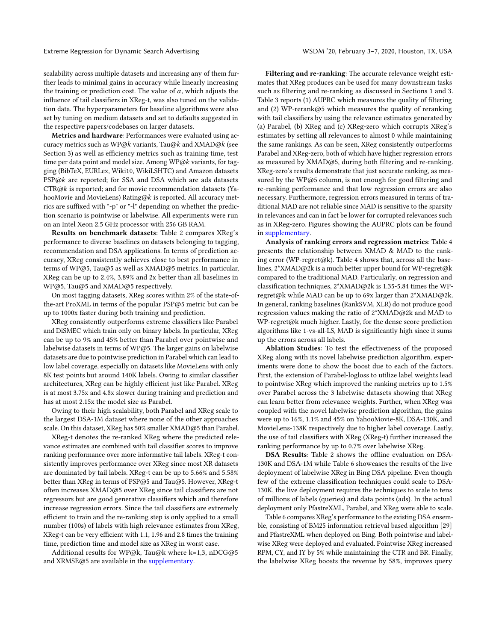Extreme Regression for Dynamic Search Advertising WSDM '20, February 3-7, 2020, Houston, TX, USA

scalability across multiple datasets and increasing any of them further leads to minimal gains in accuracy while linearly increasing the training or prediction cost. The value of  $\alpha$ , which adjusts the influence of tail classifiers in XReg-t, was also tuned on the validation data. The hyperparameters for baseline algorithms were also set by tuning on medium datasets and set to defaults suggested in the respective papers/codebases on larger datasets.

Metrics and hardware: Performances were evaluated using accuracy metrics such as WP@k variants, Tau@k and XMAD@k (see Section [3\)](#page-2-0) as well as efficiency metrics such as training time, test time per data point and model size. Among WP@k variants, for tagging (BibTeX, EURLex, Wiki10, WikiLSHTC) and Amazon datasets PSP@k are reported; for SSA and DSA which are ads datasets CTR@k is reported; and for movie recommendation datasets (YahooMovie and MovieLens) Rating@k is reported. All accuracy metrics are suffixed with "-p" or "-l" depending on whether the prediction scenario is pointwise or labelwise. All experiments were run on an Intel Xeon 2.5 GHz processor with 256 GB RAM.

Results on benchmark datasets: Table [2](#page-5-0) compares XReg's performance to diverse baselines on datasets belonging to tagging, recommendation and DSA applications. In terms of prediction accuracy, XReg consistently achieves close to best performance in terms of WP@5, Tau@5 as well as XMAD@5 metrics. In particular, XReg can be up to 2.4%, 3.89% and 2x better than all baselines in WP@5, Tau@5 and XMAD@5 respectively.

On most tagging datasets, XReg scores within 2% of the state-ofthe-art ProXML in terms of the popular PSP@5 metric but can be up to 1000x faster during both training and prediction.

XReg consistently outperforms extreme classifiers like Parabel and DiSMEC which train only on binary labels. In particular, XReg can be up to 9% and 45% better than Parabel over pointwise and labelwise datasets in terms of WP@5. The larger gains on labelwise datasets are due to pointwise prediction in Parabel which can lead to low label coverage, especially on datasets like MovieLens with only 8K test points but around 140K labels. Owing to similar classifier architectures, XReg can be highly efficient just like Parabel. XReg is at most 3.75x and 4.8x slower during training and prediction and has at most 2.15x the model size as Parabel.

Owing to their high scalability, both Parabel and XReg scale to the largest DSA-1M dataset where none of the other approaches scale. On this dataset, XReg has 50% smaller XMAD@5 than Parabel.

XReg-t denotes the re-ranked XReg where the predicted relevance estimates are combined with tail classifier scores to improve ranking performance over more informative tail labels. XReg-t consistently improves performance over XReg since most XR datasets are dominated by tail labels. XReg-t can be up to 5.66% and 5.58% better than XReg in terms of PSP@5 and Tau@5. However, XReg-t often increases XMAD@5 over XReg since tail classifiers are not regressors but are good generative classifiers which and therefore increase regression errors. Since the tail classifiers are extremely efficient to train and the re-ranking step is only applied to a small number (100s) of labels with high relevance estimates from XReg, XReg-t can be very efficient with 1.1, 1.96 and 2.8 times the training time, prediction time and model size as XReg in worst case.

Additional results for WP@k, Tau@k where k=1,3, nDCG@5 and XRMSE@5 are available in the [supplementary.](http://manikvarma.org/pubs/prabhu20-supp.pdf)

Filtering and re-ranking: The accurate relevance weight estimates that XReg produces can be used for many downstream tasks such as filtering and re-ranking as discussed in Sections [1](#page-0-0) and [3.](#page-2-0) Table [3](#page-7-0) reports (1) AUPRC which measures the quality of filtering and (2) WP-rerank@5 which measures the quality of reranking with tail classifiers by using the relevance estimates generated by (a) Parabel, (b) XReg and (c) XReg-zero which corrupts XReg's estimates by setting all relevances to almost 0 while maintaining the same rankings. As can be seen, XReg consistently outperforms Parabel and XReg-zero, both of which have higher regression errors as measured by XMAD@5, during both filtering and re-ranking. XReg-zero's results demonstrate that just accurate ranking, as measured by the WP@5 column, is not enough for good filtering and re-ranking performance and that low regression errors are also necessary. Furthermore, regression errors measured in terms of traditional MAD are not reliable since MAD is sensitive to the sparsity in relevances and can in fact be lower for corrupted relevances such as in XReg-zero. Figures showing the AUPRC plots can be found in [supplementary.](http://manikvarma.org/pubs/prabhu20-supp.pdf)

Analysis of ranking errors and regression metrics: Table [4](#page-7-1) presents the relationship between XMAD & MAD to the ranking error (WP-regret@k). Table [4](#page-7-1) shows that, across all the baselines, 2\*XMAD@2k is a much better upper bound for WP-regret@k compared to the traditional MAD. Particularly, on regression and classification techniques, 2\*XMAD@2k is 1.35-5.84 times the WPregret@k while MAD can be up to 69x larger than 2\*XMAD@2k. In general, ranking baselines (RankSVM, XLR) do not produce good regression values making the ratio of 2\*XMAD@2k and MAD to WP-regret@k much higher. Lastly, for the dense score prediction algorithms like 1-vs-all-LS, MAD is significantly high since it sums up the errors across all labels.

Ablation Studies: To test the effectiveness of the proposed XReg along with its novel labelwise prediction algorithm, experiments were done to show the boost due to each of the factors. First, the extension of Parabel-logloss to utilize label weights lead to pointwise XReg which improved the ranking metrics up to 1.5% over Parabel across the 3 labelwise datasets showing that XReg can learn better from relevance weights. Further, when XReg was coupled with the novel labelwise prediction algorithm, the gains were up to 16%, 1.1% and 45% on YahooMovie-8K, DSA-130K, and MovieLens-138K respectively due to higher label coverage. Lastly, the use of tail classifiers with XReg (XReg-t) further increased the ranking performance by up to 0.7% over labelwise XReg.

DSA Results: Table [2](#page-5-0) shows the offline evaluation on DSA-130K and DSA-1M while Table [6](#page-7-2) showcases the results of the live deployment of labelwise XReg in Bing DSA pipeline. Even though few of the extreme classification techniques could scale to DSA-130K, the live deployment requires the techniques to scale to tens of millions of labels (queries) and data points (ads). In the actual deployment only PfastreXML, Parabel, and XReg were able to scale.

Table [6](#page-7-2) compares XReg's performance to the existing DSA ensemble, consisting of BM25 information retrieval based algorithm [\[29\]](#page-8-50) and PfastreXML when deployed on Bing. Both pointwise and labelwise XReg were deployed and evaluated. Pointwise XReg increased RPM, CY, and IY by 5% while maintaining the CTR and BR. Finally, the labelwise XReg boosts the revenue by 58%, improves query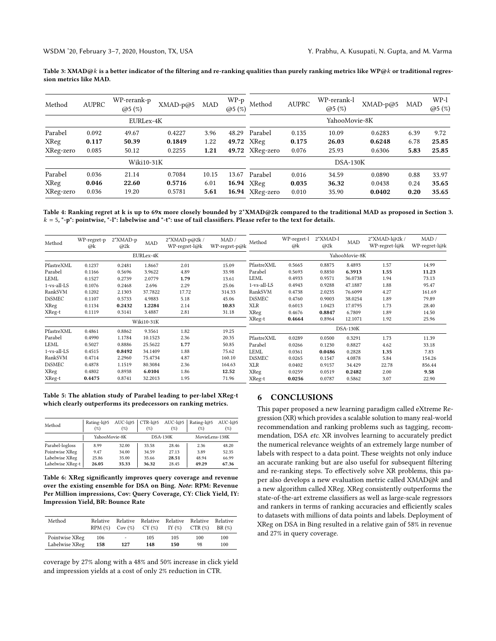<span id="page-7-0"></span>Table 3: XMAD@k is a better indicator of the filtering and re-ranking qualities than purely ranking metrics like WP@k or traditional regression metrics like MAD.

| Method    | <b>AUPRC</b> | WP-rerank-p<br>@5(%) | XMAD-p@5 | MAD   | WP-p<br>@5(%) | Method          | <b>AUPRC</b> | WP-rerank-l<br>@5(%) | $XMAD-p@5$ | MAD  | WP-1<br>@5(%) |
|-----------|--------------|----------------------|----------|-------|---------------|-----------------|--------------|----------------------|------------|------|---------------|
|           |              | EURLex-4K            |          |       |               | YahooMovie-8K   |              |                      |            |      |               |
| Parabel   | 0.092        | 49.67                | 0.4227   | 3.96  | 48.29         | Parabel         | 0.135        | 10.09                | 0.6283     | 6.39 | 9.72          |
| XReg      | 0.117        | 50.39                | 0.1849   | 1.22  | 49.72         | XReg            | 0.175        | 26.03                | 0.6248     | 6.78 | 25.85         |
| XReg-zero | 0.085        | 50.12                | 0.2255   | 1.21  |               | 49.72 XReg-zero | 0.076        | 25.93                | 0.6306     | 5.83 | 25.85         |
|           |              | Wiki10-31K           |          |       |               | $DSA-130K$      |              |                      |            |      |               |
| Parabel   | 0.036        | 21.14                | 0.7084   | 10.15 | 13.67         | Parabel         | 0.016        | 34.59                | 0.0890     | 0.88 | 33.97         |
| XReg      | 0.046        | 22.60                | 0.5716   | 6.01  |               | 16.94 XReg      | 0.035        | 36.32                | 0.0438     | 0.24 | 35.65         |
| XReg-zero | 0.036        | 19.20                | 0.5781   | 5.61  |               | 16.94 XReg-zero | 0.010        | 35.90                | 0.0402     | 0.20 | 35.65         |

<span id="page-7-1"></span>Table 4: Ranking regret at k is up to 69x more closely bounded by 2\*XMAD@2k compared to the traditional MAD as proposed in Section [3.](#page-2-0)  $k = 5$ , "-p": pointwise, "-l": labelwise and "-t": use of tail classifiers. Please refer to the text for details.

| Method        | WP-regret-p<br>@k | 2*XMAD-p<br>@2k | <b>MAD</b> | 2*XMAD-p@2k /<br>$WP$ -regret-l@k | MAD/<br>$WP$ -regret-p@k | Method        | WP-regret-l<br>@k | 2*XMAD-l<br>@2k | MAD           | 2*XMAD-l@2k /<br>WP-regret-l@k | MAD/<br>WP-regret-l@k |
|---------------|-------------------|-----------------|------------|-----------------------------------|--------------------------|---------------|-------------------|-----------------|---------------|--------------------------------|-----------------------|
|               |                   |                 | EURLex-4K  |                                   |                          |               |                   |                 | YahooMovie-8K |                                |                       |
| PfastreXML    | 0.1237            | 0.2481          | 1.8667     | 2.01                              | 15.09                    | PfastreXML    | 0.5665            | 0.8875          | 8.4893        | 1.57                           | 14.99                 |
| Parabel       | 0.1166            | 0.5696          | 3.9622     | 4.89                              | 33.98                    | Parabel       | 0.5693            | 0.8850          | 6.3913        | 1.55                           | 11.23                 |
| LEML          | 0.1527            | 0.2739          | 2.0779     | 1.79                              | 13.61                    | LEML          | 0.4933            | 0.9571          | 36.0738       | 1.94                           | 73.13                 |
| 1-vs-all-LS   | 0.1076            | 0.2468          | 2.696      | 2.29                              | 25.06                    | 1-vs-all-LS   | 0.4943            | 0.9288          | 47.1887       | 1.88                           | 95.47                 |
| RankSVM       | 0.1202            | 2.1303          | 37.7822    | 17.72                             | 314.33                   | RankSVM       | 0.4738            | 2.0235          | 76.6099       | 4.27                           | 161.69                |
| <b>DiSMEC</b> | 0.1107            | 0.5733          | 4.9883     | 5.18                              | 45.06                    | <b>DiSMEC</b> | 0.4760            | 0.9003          | 38.0254       | 1.89                           | 79.89                 |
| XReg          | 0.1134            | 0.2432          | 1.2284     | 2.14                              | 10.83                    | XLR           | 0.6013            | 1.0423          | 17.0795       | 1.73                           | 28.40                 |
| XReg-t        | 0.1119            | 0.3141          | 3.4887     | 2.81                              | 31.18                    | XReg          | 0.4676            | 0.8847          | 6.7809        | 1.89                           | 14.50                 |
|               |                   |                 | Wiki10-31K |                                   |                          | XReg-t        | 0.4664            | 0.8964          | 12.1071       | 1.92                           | 25.96                 |
| PfastreXML    | 0.4861            | 0.8862          | 9.3561     | 1.82                              | 19.25                    |               |                   |                 | $DSA-130K$    |                                |                       |
| Parabel       | 0.4990            | 1.1784          | 10.1523    | 2.36                              | 20.35                    | PfastreXML    | 0.0289            | 0.0500          | 0.3291        | 1.73                           | 11.39                 |
| LEML          | 0.5027            | 0.8886          | 25.5622    | 1.77                              | 50.85                    | Parabel       | 0.0266            | 0.1230          | 0.8827        | 4.62                           | 33.18                 |
| 1-vs-all-LS   | 0.4515            | 0.8492          | 34.1409    | 1.88                              | 75.62                    | <b>LEML</b>   | 0.0361            | 0.0486          | 0.2828        | 1.35                           | 7.83                  |
| RankSVM       | 0.4714            | 2.2960          | 75.4734    | 4.87                              | 160.10                   | <b>DiSMEC</b> | 0.0265            | 0.1547          | 4.0878        | 5.84                           | 154.26                |
| <b>DiSMEC</b> | 0.4878            | 1.1519          | 80.3084    | 2.36                              | 164.63                   | XLR           | 0.0402            | 0.9157          | 34.429        | 22.78                          | 856.44                |
| XReg          | 0.4802            | 0.8938          | 6.0104     | 1.86                              | 12.52                    | <b>XReg</b>   | 0.0259            | 0.0519          | 0.2482        | 2.00                           | 9.58                  |
| XReg-t        | 0.4475            | 0.8741          | 32.2013    | 1.95                              | 71.96                    | XReg-t        | 0.0256            | 0.0787          | 0.5862        | 3.07                           | 22.90                 |

Table 5: The ablation study of Parabel leading to per-label XReg-t which clearly outperforms its predecessors on ranking metrics.

| Method           | Rating-l@5<br>$($ %) | $AUC-I@5$<br>$( \% )$ | $CTR-I@5$<br>$(\%)$ | $AUC-I@5$<br>(%) | Rating-l@5<br>(%) | $AUC-I@5$<br>$(\%)$ |  |
|------------------|----------------------|-----------------------|---------------------|------------------|-------------------|---------------------|--|
|                  | YahooMovie-8K        |                       |                     | $DSA-130K$       | MovieLens-138K    |                     |  |
| Parabel-logloss  | 8.99                 | 32.00                 | 33.58               | 28.46            | 2.36              | 48.20               |  |
| Pointwise XReg   | 9.47                 | 34.00                 | 34.59               | 27.13            | 3.89              | 52.35               |  |
| Labelwise XReg   | 25.86                | 35.00                 | 35.66               | 28.51            | 48.94             | 66.99               |  |
| Labelwise XReg-t | 26.05                | 35.33                 | 36.32               | 28.45            | 49.29             | 67.36               |  |

<span id="page-7-2"></span>Table 6: XReg significantly improves query coverage and revenue over the existing ensemble for DSA on Bing. Note: RPM: Revenue Per Million impressions, Cov: Query Coverage, CY: Click Yield, IY: Impression Yield, BR: Bounce Rate

| Method         | Relative<br>RPM (%) | Cov(%)                   | Relative Relative Relative Relative<br>CY(%) | IY $(\%)$ | CTR (%) | Relative<br>BR(%) |
|----------------|---------------------|--------------------------|----------------------------------------------|-----------|---------|-------------------|
| Pointwise XReg | 106                 | $\overline{\phantom{a}}$ | 105                                          | 105       | 100     | 100               |
| Labelwise XReg | 158                 | 127                      | 148                                          | 150       | 98      | 100               |

coverage by 27% along with a 48% and 50% increase in click yield and impression yields at a cost of only 2% reduction in CTR.

# 6 CONCLUSIONS

This paper proposed a new learning paradigm called eXtreme Regression (XR) which provides a scalable solution to many real-world recommendation and ranking problems such as tagging, recommendation, DSA etc. XR involves learning to accurately predict the numerical relevance weights of an extremely large number of labels with respect to a data point. These weights not only induce an accurate ranking but are also useful for subsequent filtering and re-ranking steps. To effectively solve XR problems, this paper also develops a new evaluation metric called XMAD@k and a new algorithm called XReg. XReg consistently outperforms the state-of-the-art extreme classifiers as well as large-scale regressors and rankers in terms of ranking accuracies and efficiently scales to datasets with millions of data points and labels. Deployment of XReg on DSA in Bing resulted in a relative gain of 58% in revenue and 27% in query coverage.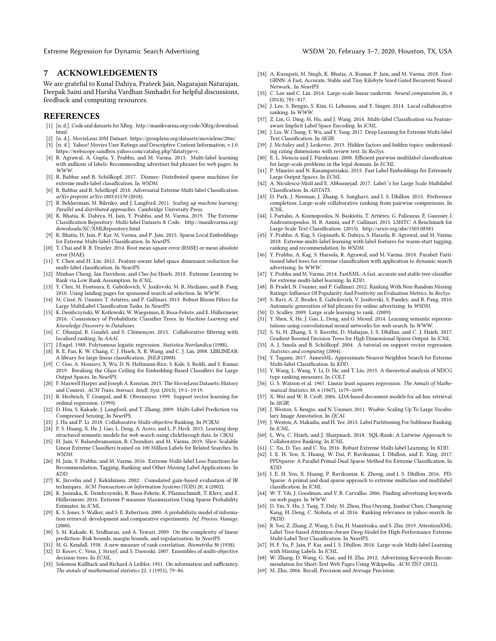Extreme Regression for Dynamic Search Advertising WSDM '20, February 3-7, 2020, Houston, TX, USA

# 7 ACKNOWLEDGEMENTS

We are grateful to Kunal Dahiya, Prateek Jain, Nagarajan Natarajan, Deepak Saini and Harsha Vardhan Simhadri for helpful discussions, feedback and computing resources.

#### REFERENCES

- <span id="page-8-0"></span>[1] [n. d.]. Code and datasets for XReg. [http://manikvarma.org/code/XReg/download.](http://manikvarma.org/code/XReg/download.html) [html](http://manikvarma.org/code/XReg/download.html)
- <span id="page-8-64"></span>[2] [n. d.]. MovieLens 20M Dataset. [https://grouplens.org/datasets/movielens/20m/.](https://grouplens.org/datasets/movielens/20m/)
- <span id="page-8-63"></span>[3] [n. d.]. Yahoo! Movies User Ratings and Descriptive Content Information, v.1.0. [https://webscope.sandbox.yahoo.com/catalog.php?datatype=r.](https://webscope.sandbox.yahoo.com/catalog.php?datatype=r)
- <span id="page-8-2"></span>[4] R. Agrawal, A. Gupta, Y. Prabhu, and M. Varma. 2013. Multi-label learning with millions of labels: Recommending advertiser bid phrases for web pages. In WWW.
- <span id="page-8-18"></span>[5] R. Babbar and B. Schölkopf. 2017. Dismec: Distributed sparse machines for extreme multi-label classification. In WSDM.
- <span id="page-8-19"></span>[6] R. Babbar and B. Schölkopf. 2018. Adversarial Extreme Multi-label Classification. arXiv preprint arXiv:1803.01570 (2018).
- <span id="page-8-29"></span>[7] R. Bekkerman, M. Bilenko, and J. Langford. 2011. Scaling up machine learning: Parallel and distributed approaches. Cambridge University Press.
- <span id="page-8-61"></span>[8] K. Bhatia, K. Dahiya, H. Jain, Y. Prabhu, and M. Varma. 2019. The Extreme Classification Repository: Multi-label Datasets & Code. [http://manikvarma.org/](http://manikvarma.org/downloads/XC/XMLRepository.html) [downloads/XC/XMLRepository.html](http://manikvarma.org/downloads/XC/XMLRepository.html)
- <span id="page-8-8"></span>[9] K. Bhatia, H. Jain, P. Kar, M. Varma, and P. Jain. 2015. Sparse Local Embeddings for Extreme Multi-label Classification. In NeurIPS.
- <span id="page-8-34"></span>[10] T. Chai and R. R. Draxler. 2014. Root mean square error (RMSE) or mean absolute error (MAE).
- <span id="page-8-9"></span>[11] Y. Chen and H. Lin. 2012. Feature-aware label space dimension reduction for multi-label classification. In NeurIPS.
- <span id="page-8-35"></span>[12] Minhao Cheng, Ian Davidson, and Cho-Jui Hsieh. 2018. Extreme Learning to Rank via Low Rank Assumption. In ICML.
- <span id="page-8-54"></span>[13] Y. Choi, M. Fontoura, E. Gabrilovich, V. Josifovski, M. R. Mediano, and B. Pang. 2010. Using landing pages for sponsored search ad selection. In WWW.
- <span id="page-8-10"></span>[14] M. Cissé, N. Usunier, T. Artières, and P. Gallinari. 2013. Robust Bloom Filters for Large MultiLabel Classification Tasks. In NeurIPS.
- <span id="page-8-67"></span>[15] K. Dembczyński, W. Kotłowski, W. Waegeman, R. Busa-Fekete, and E. Hüllermeier. 2016. Consistency of Probabilistic Classifier Trees. In Machine Learning and Knowledge Discovery in Databases.
- <span id="page-8-36"></span>[16] C. Dhanjal, R. Gaudel, and S. Clémençon. 2015. Collaborative filtering with localised ranking. In AAAI.
- <span id="page-8-30"></span>[17] J Engel. 1988. Polytomous logistic regression. Statistica Neerlandica (1988).
- <span id="page-8-59"></span>[18] R. E. Fan, K. W. Chang, C. J. Hsieh, X. R. Wang, and C. J. Lin. 2008. LIBLINEAR: A library for large linear classification. JMLR (2008).
- <span id="page-8-11"></span>[19] C. Guo, A. Mousavi, X. Wu, D. N. Holtmann-Rice, S. Kale, S. Reddi, and S. Kumar. 2019. Breaking the Glass Ceiling for Embedding-Based Classifiers for Large Output Spaces. In NeurIPS.
- <span id="page-8-65"></span>[20] F. Maxwell Harper and Joseph A. Konstan. 2015. The MovieLens Datasets: History and Context. ACM Trans. Interact. Intell. Syst. (2015), 19:1–19:19.
- <span id="page-8-45"></span>[21] R. Herbrich, T. Graepel, and K. Obermayer. 1999. Support vector learning for ordinal regression. (1999).
- <span id="page-8-12"></span>[22] D. Hsu, S. Kakade, J. Langford, and T. Zhang. 2009. Multi-Label Prediction via Compressed Sensing. In NeurIPS.
- <span id="page-8-37"></span>J. Hu and P. Li. 2018. Collaborative Multi-objective Ranking. In PCIKM.
- <span id="page-8-52"></span>[24] P. S. Huang, X. He, J. Gao, L. Deng, A. Acero, and L. P. Heck. 2013. Learning deep structured semantic models for web search using clickthrough data. In CIKM.
- <span id="page-8-20"></span>[25] H. Jain, V. Balasubramanian, B. Chunduri, and M. Varma. 2019. Slice: Scalable Linear Extreme Classifiers trained on 100 Million Labels for Related Searches. In WSDM.
- <span id="page-8-3"></span>[26] H. Jain, Y. Prabhu, and M. Varma. 2016. Extreme Multi-label Loss Functions for Recommendation, Tagging, Ranking and Other Missing Label Applications. In KDD.
- <span id="page-8-46"></span>[27] K. Järvelin and J. Kekäläinen. 2002. Cumulated gain-based evaluation of IR techniques. ACM Transactions on Information Systems (TOIS) 20, 4 (2002).
- <span id="page-8-4"></span>[28] K. Jasinska, K. Dembczynski, R. Busa-Fekete, K. Pfannschmidt, T. Klerx, and E. Hüllermeier. 2016. Extreme F-measure Maximization Using Sparse Probability Estimates. In ICML.
- <span id="page-8-50"></span>[29] K. S. Jones, S. Walker, and S. E. Robertson. 2000. A probabilistic model of information retrieval: development and comparative experiments. Inf. Process. Manage. (2000).
- <span id="page-8-68"></span>[30] S. M. Kakade, K. Sridharan, and A. Tewari. 2009. On the complexity of linear prediction: Risk bounds, margin bounds, and regularization. In NeurIPS.
- <span id="page-8-47"></span><span id="page-8-33"></span>M. G. Kendall. 1938. A new measure of rank correlation. Biometrika 30 (1938). [32] D. Kocev, C. Vens, J. Struyf, and S. Dzeroski. 2007. Ensembles of multi-objective decision trees. In ECML.
- <span id="page-8-58"></span>[33] Solomon Kullback and Richard A Leibler. 1951. On information and sufficiency. The annals of mathematical statistics 22, 1 (1951), 79–86.
- <span id="page-8-21"></span>[34] A. Kusupati, M. Singh, K. Bhatia, A. Kumar, P. Jain, and M. Varma. 2018. Fast-GRNN: A Fast, Accurate, Stable and Tiny Kilobyte Sized Gated Recurrent Neural Network.. In NeurIPS.
- <span id="page-8-38"></span>[35] C. Lee and C. Lin. 2014. Large-scale linear ranksvm. Neural computation 26, 4 (2014), 781–817.
- <span id="page-8-39"></span>[36] J. Lee, S. Bengio, S. Kim, G. Lebanon, and Y. Singer. 2014. Local collaborative ranking. In WWW.
- <span id="page-8-13"></span>[37] Z. Lin, G. Ding, M. Hu, and J. Wang. 2014. Multi-label Classification via Featureaware Implicit Label Space Encoding. In ICML.
- <span id="page-8-22"></span>[38] J. Liu, W. Chang, Y. Wu, and Y. Yang. 2017. Deep Learning for Extreme Multi-label Text Classification. In SIGIR.
- <span id="page-8-66"></span>[39] J. McAuley and J. Leskovec. 2013. Hidden factors and hidden topics: understanding rating dimensions with review text. In RecSys. [40] E. L. Mencia and J. Fürnkranz. 2008. Efficient pairwise multilabel classification
- <span id="page-8-60"></span>for large-scale problems in the legal domain. In ECML.
- <span id="page-8-14"></span>[41] P. Mineiro and N. Karampatziakis. 2015. Fast Label Embeddings for Extremely Large Output Spaces. In ECML.
- <span id="page-8-23"></span>[42] A. Niculescu-Mizil and E. Abbasnejad. 2017. Label 's for Large Scale Multilabel Classification. In AISTATS.
- <span id="page-8-40"></span>[43] D. Park, J. Neeman, J. Zhang, S. Sanghavi, and I. S. Dhillon. 2015. Preference completion: Large-scale collaborative ranking from pairwise comparisons. In ICML.
- <span id="page-8-62"></span>[44] I. Partalas, A. Kosmopoulos, N. Baskiotis, T. Artières, G. Paliouras, É. Gaussier, I. Androutsopoulos, M. R. Amini, and P. Gallinari. 2015. LSHTC: A Benchmark for Large-Scale Text Classification. (2015).<http://arxiv.org/abs/1503.08581>
- <span id="page-8-5"></span>[45] Y. Prabhu, A. Kag, S. Gopinath, K. Dahiya, S. Harsola, R. Agrawal, and M. Varma. 2018. Extreme multi-label learning with label features for warm-start tagging, ranking and recommendation. In WSDM.
- <span id="page-8-1"></span>[46] Y. Prabhu, A. Kag, S. Harsola, R. Agrawal, and M. Varma. 2018. Parabel: Partitioned label trees for extreme classification with application to dynamic search advertising. In WWW.
- <span id="page-8-6"></span>[47] Y. Prabhu and M. Varma. 2014. FastXML: A fast, accurate and stable tree-classifier for extreme multi-label learning. In KDD.
- <span id="page-8-41"></span>[48] B. Pradel, N. Usunier, and P. Gallinari. 2012. Ranking With Non-Random Missing Ratings: Influence Of Popularity And Positivity on Evaluation Metrics. In RecSys.
- <span id="page-8-55"></span>[49] S. Ravi, A. Z. Broder, E. Gabrilovich, V. Josifovski, S. Pandey, and B. Pang. 2010. Automatic generation of bid phrases for online advertising. In WSDM.
- <span id="page-8-42"></span>[50] D. Sculley. 2009. Large scale learning to rank. (2009).
- <span id="page-8-53"></span>[51] Y. Shen, X. He, J. Gao, L. Deng, and G. Mesnil. 2014. Learning semantic representations using convolutional neural networks for web search. In WWW.
- <span id="page-8-7"></span>[52] S. Si, H. Zhang, S. S. Keerthi, D. Mahajan, I. S. Dhillon, and C. J. Hsieh. 2017. Gradient Boosted Decision Trees for High Dimensional Sparse Output. In ICML.
- <span id="page-8-31"></span>[53] A. J. Smola and B. Schölkopf. 2004. A tutorial on support vector regression. Statistics and computing (2004).
- <span id="page-8-15"></span>[54] Y. Tagami. 2017. AnnexML: Approximate Nearest Neighbor Search for Extreme Multi-label Classification. In KDD.
- <span id="page-8-48"></span>[55] Y. Wang, L. Wang, Y. Li, D. He, and T. Liu. 2013. A theoretical analysis of NDCG type ranking measures. In COLT.
- <span id="page-8-32"></span>[56] G. S. Watson et al. 1967. Linear least squares regression. The Annals of Mathematical Statistics 38, 6 (1967), 1679–1699.
- <span id="page-8-51"></span>[57] X. Wei and W. B. Croft. 2006. LDA-based document models for ad-hoc retrieval. In SIGIR.
- <span id="page-8-16"></span>[58] J. Weston, S. Bengio, and N. Usunier. 2011. Wsabie: Scaling Up To Large Vocabulary Image Annotation. In IJCAI.
- <span id="page-8-24"></span>[59] J. Weston, A. Makadia, and H. Yee. 2013. Label Partitioning For Sublinear Ranking. In ICML.
- <span id="page-8-43"></span>[60] L. Wu, C. Hsieh, and J. Sharpnack. 2018. SQL-Rank: A Listwise Approach to Collaborative Ranking. In ICML.
- <span id="page-8-17"></span>[61] C. Xu, D. Tao, and C. Xu. 2016. Robust Extreme Multi-label Learning. In KDD.
- <span id="page-8-25"></span>[62] I. E. H. Yen, X. Huang, W. Dai, P. Ravikumar, I. Dhillon, and E. Xing. 2017. PPDsparse: A Parallel Primal-Dual Sparse Method for Extreme Classification. In KDD.
- <span id="page-8-26"></span>[63] I. E. H. Yen, X. Huang, P. Ravikumar, K. Zhong, and I. S. Dhillon. 2016. PD-Sparse: A primal and dual sparse approach to extreme multiclass and multilabel classification. In ICML.
- <span id="page-8-56"></span>[64] W. T. Yih, J. Goodman, and V. R. Carvalho. 2006. Finding advertising keywords on web pages. In WWW.
- <span id="page-8-44"></span>[65] D. Yin, Y. Hu, J. Tang, T. Daly, M. Zhou, Hua Ouyang, Jianhui Chen, Changsung Kang, H. Deng, C. Nobata, et al. 2016. Ranking relevance in yahoo search. In PKDD.
- <span id="page-8-27"></span>[66] R. You, Z. Zhang, Z. Wang, S. Dai, H. Mamitsuka, and S. Zhu. 2019. AttentionXML: Label Tree-based Attention-Aware Deep Model for High-Performance Extreme Multi-Label Text Classification. In NeurIPS.
- <span id="page-8-28"></span>[67] H. F. Yu, P. Jain, P. Kar, and I. S. Dhillon. 2014. Large-scale Multi-label Learning with Missing Labels. In ICML.
- <span id="page-8-57"></span>[68] W. Zhang, D. Wang, G. Xue, and H. Zha. 2012. Advertising Keywords Recommendation for Short-Text Web Pages Using Wikipedia. ACM TIST (2012).
- <span id="page-8-49"></span>[69] M. Zhu. 2004. Recall, Precision and Average Precision.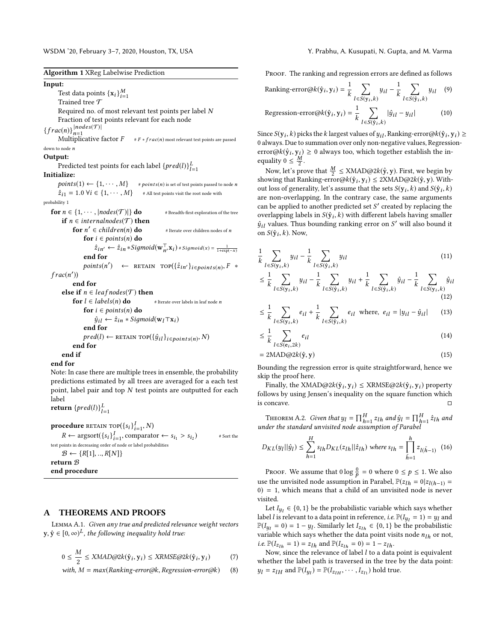WSDM '20, February 3–7, 2020, Houston, TX, USA Y. Prabhu, A. Kusupati, N. Gupta, and M. Varma

Algorithm 1 XReg Labelwise Prediction

Input: Test data points  $\{x_i\}_{i=1}^M$ Trained tree  ${\cal T}$ Required no. of most relevant test points per label N Fraction of test points relevant for each node  ${frac(n)}_{n=1}^{|nodes(\mathcal{T})|}$  $\mathcal{O}(n)$   $\}_{n=1}$ <br>Multiplicative factor  $F$  #  $F * frac(n)$  most relevant test points are passed down to node  $\boldsymbol{n}$ Output: Predicted test points for each label  $\{pred(l)\}_{l=1}^{L}$ alize: Initialize:  $points(1) \leftarrow \{1, \cdots, M\}$  #  $points(n)$  is set of test points passed to node n<br>  $\hat{z}_{i1} = 1.0 \ \forall i \in \{1, \cdots, M\}$  # All test points visit the root node with  $\hat{z}_{i1} = 1.0 \,\forall i \in \{1, \cdots, M\}$ probability 1 for  $n \in \{1, \cdots, |nodes(\mathcal{T})|\}$  do # Breadth-first exploration of the tree if  $n \in internalnodes(\mathcal{T})$  then for  $n' \in children(n)$  do  $#$  Iterate over children nodes of  $n$ for  $i \in points(n)$  do  $\hat{z}_{in'} \leftarrow \hat{z}_{in} * Sigmoid(\mathbf{w}_{n'}^{\top} \mathbf{x}_i) * sigmoid(x) = \frac{1}{1 + \exp(-x)}$ end for  $points(n') \leftarrow \text{RETAIN TOP}({\{\hat{z}_{in'}\}_{i \in points(n)}, F \ast})$  $frac(n')$ end for **else if**  $n \in leaf nodes(\mathcal{T})$  **then**<br>**for**  $l \in labels(n)$  **do** # Iterate over labels in leaf node *n* for  $l \in labels(n)$  do for  $i \in points(n)$  do  $\hat{y}_{i}$ i ←  $\hat{z}_{in}$  \* Sigmoid( $\mathbf{w}_i$ ⊤x<sub>i</sub>) end for pred(l) ← RETAIN TOP( $\{\hat{y}_{il}\}_{i \in points(n)}, N$ ) end for end if

end for

Note: In case there are multiple trees in ensemble, the probability predictions estimated by all trees are averaged for a each test point, label pair and top  $N$  test points are outputted for each label

return  $\{pred(l)\}_{l=1}^{L}$ 

**procedure** RETAIN TOP( ${s_i}_{i=1}^I$ , N) **cedure** RETAIN TOP({S*i}*<sup>7</sup><sub>i=1</sub></sub>, *N*)<br>  $R$  ← argsort({ $s_i$ }<sup>*I*</sup><sub>i=1</sub>, comparator ←  $s_{i_1} > s_{i_2}$ <br>
oints in decreasing order of node or label probabilities ) # Sort the test points in decreasing order of node or label probabilities  $\mathcal{B} \leftarrow \{R[1], ..., R[N]\}$ return B end procedure

## A THEOREMS AND PROOFS

Lemma A.1. Given any true and predicted relevance weight vectors  $y, \hat{y} \in [0, \infty)^L$ , the following inequality hold true:

$$
0 \le \frac{M}{2} \le \text{XMAD}\text{@2k}(\hat{\mathbf{y}}_i, \mathbf{y}_i) \le \text{XRMSE}\text{@2k}(\hat{\mathbf{y}}_i, \mathbf{y}_i) \tag{7}
$$

with, 
$$
M = max(Ranking-error@k, Regression-error@k)
$$
 (8)

PROOF. The ranking and regression errors are defined as follows

Ranking-error@
$$
k(\hat{\mathbf{y}}_i, \mathbf{y}_i) = \frac{1}{k} \sum_{l \in S(\mathbf{y}_i, k)} y_{il} - \frac{1}{k} \sum_{l \in S(\hat{\mathbf{y}}_i, k)} y_{il}
$$
 (9)  
Regression-error@ $k(\hat{\mathbf{y}}_i, \mathbf{y}_i) = \frac{1}{k} \sum_{l \in S(\hat{\mathbf{y}}_i, k)} |\hat{y}_{il} - y_{il}|$  (10)

Since  $S(y_i, k)$  picks the k largest values of  $y_{il}$ , Ranking-error $@k(\hat{y}_i, y_i) \ge 0$  always Due to summation over only non-negative values. Regression-0 always. Due to summation over only non-negative values, Regressionerror@k( $\hat{y}_i, y_i$ )  $\geq 0$  always too, which together establish the inequality  $0 \leq \frac{M}{2}$ .

Now, let's prove that  $\frac{M}{2} \leq \text{NMAD@2k}(\hat{y}, y)$ . First, we begin by showing that Ranking-error $\mathcal{Q}_k(\hat{y}_i, y_i) \leq 2X\text{MAD}\mathcal{Q}_k(\hat{y}, y)$ . With-<br>out loss of generality, let's assume that the sets  $S(y_i, k)$  and  $S(\hat{y}, k)$ . out loss of generality, let's assume that the sets  $S(y_i, k)$  and  $S(\hat{y}_i, k)$ are non-overlapping. In the contrary case, the same arguments can be applied to another predicted set  $S'$  created by replacing the overlapping labels in  $S(\hat{v} \cdot k)$  with different labels baying smaller overlapping labels in  $S(\hat{y}_i, k)$  with different labels having smaller  $\hat{y}_{il}$  values. Thus bounding ranking error on S' will also bound it on  $S(\hat{y}_i, k)$ . Now,

$$
\frac{1}{k} \sum_{l \in S(y_i, k)} y_{il} - \frac{1}{k} \sum_{l \in S(\hat{y}_i, k)} y_{il} \tag{11}
$$

$$
\leq \frac{1}{k} \sum_{l \in S(y_i, k)} y_{il} - \frac{1}{k} \sum_{l \in S(\hat{y}_i, k)} y_{il} + \frac{1}{k} \sum_{l \in S(\hat{y}_i, k)} \hat{y}_{il} - \frac{1}{k} \sum_{l \in S(y_i, k)} \hat{y}_{il}
$$
(12)

$$
\leq \frac{1}{k} \sum_{l \in S(y_i, k)} e_{il} + \frac{1}{k} \sum_{l \in S(\hat{y}_i, k)} e_{il} \text{ where, } e_{il} = |y_{il} - \hat{y}_{il}| \qquad (13)
$$

$$
\leq \frac{1}{k} \sum_{l \in S(\mathbf{e}_l, 2k)} e_{il} \tag{14}
$$

$$
= 2\text{MAD} \textcircled{g2}k(\hat{\mathbf{y}}, \mathbf{y}) \tag{15}
$$

Bounding the regression error is quite straightforward, hence we skip the proof here.

Finally, the XMAD@2 $k(\hat{y}_i, y_i) \leq$  XRMSE@2 $k(\hat{y}_i, y_i)$  property<br>lows by using Jansen's inequality on the square function which follows by using Jensen's inequality on the square function which is concave.

THEOREM A.2. Given that  $y_l = \prod_{h=1}^H z_{lh}$  and  $\hat{y}_l = \prod_{h=1}^H \hat{z}_{lh}$  and  $\hat{z}_{lh}$  and  $\hat{z}_{lm}$ THEOREM A.2. Given that  $y_l = \prod_{i=1}^{k} z_{lh}$  and  $y_l = \prod_{i=1}^{k} z_{lh}$  and  $y_l$ 

<span id="page-9-1"></span>
$$
D_{KL}(y_l||\hat{y}_l) \le \sum_{h=1}^{H} s_{lh} D_{KL}(z_{lh}||\hat{z}_{lh}) \text{ where } s_{lh} = \prod_{\tilde{h}=1}^{h} z_{l(\tilde{h}-1)} \tag{16}
$$

Proof. We assume that  $0 \log \frac{\theta}{p} = 0$  where  $0 \le p \le 1$ . We also use the unvisited node assumption in Parabel,  $\mathbb{P}(z_{lh} = 0 | z_{l(h-1)} = 0) = 1$  which means that a child of an unvisited node is never 0) = 1, which means that a child of an unvisited node is never visited.

Let  $I_{y_l} \in \{0, 1\}$  be the probabilistic variable which says whether  $\text{rel } i$  is relevant to a data point in reference  $i \in \mathbb{P}(I_1 - 1) - u_l$  and label *l* is relevant to a data point in reference, *i.e.*  $\mathbb{P}(I_{u_l} = 1) = y_l$  and  $\mathbb{P}(I_{y_l} = 0) = 1 - y_l$ . Similarly let  $I_{z_l h} \in \{0, 1\}$  be the probabilistic variable which save whether the data point visits node  $n_i$ , or not variable which says whether the data point visits node  $n_{lh}$  or not, *i.e.*  $\mathbb{P}(I_{z_{1h}} = 1) = z_{1h}$  and  $\mathbb{P}(I_{z_{1h}} = 0) = 1 - z_{1h}$ .

<span id="page-9-0"></span>Now, since the relevance of label  $l$  to a data point is equivalent whether the label path is traversed in the tree by the data point:  $y_l = z_{lH}$  and  $\mathbb{P}(I_{y_l}) = \mathbb{P}(I_{z_{lH}}, \dots, I_{z_{l1}})$  hold true.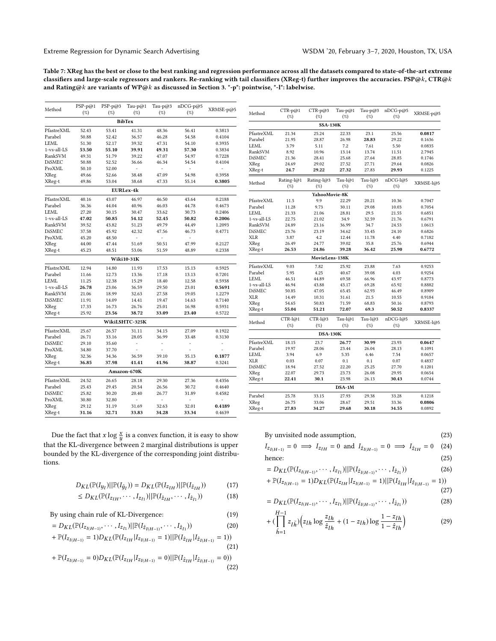Table 7: XReg has the best or close to the best ranking and regression performance across all the datasets compared to state-of-the-art extreme classifiers and large-scale regressors and rankers. Re-ranking with tail classifiers (XReg-t) further improves the accuracies. PSP@k, CTR@k and Rating@k are variants of WP@k as discussed in Section [3.](#page-2-0) "-p": pointwise, "-l": labelwise.

| Method        | $PSP-p@1$ | $PSP-p@3$ | Tau-p $@1$            | Tau-p@3 | $nDCG-p@5$ | XRMSE-p@5 |  |  |  |  |
|---------------|-----------|-----------|-----------------------|---------|------------|-----------|--|--|--|--|
|               | (%)       | (%)       | $(\%)$                | $(\%)$  | (%)        |           |  |  |  |  |
|               |           |           | <b>BibTex</b>         |         |            |           |  |  |  |  |
| PfastreXML    | 52.43     | 53.41     | 41.31                 | 48.36   | 56.41      | 0.3813    |  |  |  |  |
| Parabel       | 50.88     | 52.42     | 36.57                 | 46.28   | 54.58      | 0.4104    |  |  |  |  |
| LEML          | 51.30     | 52.17     | 39.32                 | 47.31   | 54.10      | 0.3935    |  |  |  |  |
| 1-vs-all-LS   | 53.50     | 55.10     | 39.91                 | 49.31   | 57.30      | 0.3834    |  |  |  |  |
| RankSVM       | 49.31     | 51.79     | 39.22                 | 47.07   | 54.97      | 0.7228    |  |  |  |  |
| <b>DiSMEC</b> | 50.88     | 52.52     | 36.66                 | 46.34   | 54.54      | 0.4104    |  |  |  |  |
| ProXML        | 50.10     | 52.00     | ÷,                    | ÷,      | ÷,         | ÷,        |  |  |  |  |
| XReg          | 49.66     | 52.66     | 38.48                 | 47.09   | 54.98      | 0.3958    |  |  |  |  |
| XReg-t        | 49.86     | 53.04     | 38.68                 | 47.33   | 55.14      | 0.3805    |  |  |  |  |
| EURLex-4k     |           |           |                       |         |            |           |  |  |  |  |
| PfastreXML    | 40.16     | 43.07     | 46.97                 | 46.50   | 43.64      | 0.2188    |  |  |  |  |
| Parabel       | 36.36     | 44.04     | 40.96                 | 46.03   | 44.78      | 0.4673    |  |  |  |  |
| <b>LEML</b>   | 27.20     | 30.15     | 30.47                 | 33.62   | 30.73      | 0.2406    |  |  |  |  |
| 1-vs-all-LS   | 47.02     | 50.85     | 54.12                 | 52.45   | 50.82      | 0.2006    |  |  |  |  |
| RankSVM       | 39.52     | 43.82     | 51.23                 | 49.79   | 44.49      | 1.2093    |  |  |  |  |
| <b>DiSMEC</b> | 37.58     | 45.92     | 42.32                 | 47.56   | 46.73      | 0.4771    |  |  |  |  |
| ProXML        | 45.20     | 48.50     | ÷                     | ÷,      | ÷          |           |  |  |  |  |
| XReg          | 44.00     | 47.44     | 51.69                 | 50.51   | 47.99      | 0.2127    |  |  |  |  |
| XReg-t        | 45.23     | 48.51     | 53.06                 | 51.59   | 48.89      | 0.2338    |  |  |  |  |
|               |           |           | Wiki10-31K            |         |            |           |  |  |  |  |
| PfastreXML    | 12.94     | 14.80     | 11.93                 | 17.53   | 15.13      | 0.5925    |  |  |  |  |
| Parabel       | 11.66     | 12.73     | 13.36                 | 17.18   | 13.13      | 0.7201    |  |  |  |  |
| <b>LEML</b>   | 11.25     | 12.38     | 15.29                 | 18.40   | 12.58      | 0.5938    |  |  |  |  |
| 1-vs-all-LS   | 26.78     | 23.06     | 36.59                 | 29.50   | 23.01      | 0.5691    |  |  |  |  |
| RankSVM       | 21.06     | 18.99     | 32.63                 | 27.58   | 19.05      | 1.2279    |  |  |  |  |
| <b>DiSMEC</b> | 11.91     | 14.09     | 14.41                 | 19.47   | 14.63      | 0.7140    |  |  |  |  |
| XReg          | 17.33     | 16.73     | 26.76                 | 25.01   | 16.98      | 0.5931    |  |  |  |  |
| XReg-t        | 25.92     | 23.56     | 38.72                 | 33.09   | 23.40      | 0.5722    |  |  |  |  |
|               |           |           | <b>WikiLSHTC-325K</b> |         |            |           |  |  |  |  |
| PfastreXML    | 25.67     | 26.57     | 31.11                 | 34.15   | 27.09      | 0.1922    |  |  |  |  |
| Parabel       | 26.71     | 33.16     | 28.05                 | 36.99   | 33.48      | 0.3130    |  |  |  |  |
| <b>DiSMEC</b> | 29.10     | 35.60     | $\frac{1}{2}$         | ÷,      | ÷,         | ÷,        |  |  |  |  |
| ProXML        | 34.80     | 37.70     | L,                    | ä,      | L.         | L,        |  |  |  |  |
| XReg          | 32.36     | 34.36     | 36.59                 | 39.10   | 35.13      | 0.1877    |  |  |  |  |
| XReg-t        | 36.85     | 37.98     | 41.41                 | 41.96   | 38.87      | 0.3241    |  |  |  |  |
|               |           |           | Amazon-670K           |         |            |           |  |  |  |  |
| PfastreXML    | 24.52     | 26.65     | 28.18                 | 29.30   | 27.36      | 0.4356    |  |  |  |  |
| Parabel       | 25.43     | 29.45     | 20.54                 | 26.56   | 30.72      | 0.4640    |  |  |  |  |
| <b>DiSMEC</b> | 25.82     | 30.20     | 20.40                 | 26.77   | 31.89      | 0.4582    |  |  |  |  |
| ProXML        | 30.80     | 32.80     | ÷,                    | ٠       | ÷,         | ÷,        |  |  |  |  |
| XReg          | 29.12     | 31.19     | 31.69                 | 32.63   | 32.01      | 0.4189    |  |  |  |  |
| XReg-t        | 31.16     | 32.71     | 33.83                 | 34.28   | 33.34      | 0.4639    |  |  |  |  |

| Method         | $CTR-p@1$  | $CTR-p@3$       | Tau-p $@1$ | Tau-p $@3$ | nDCG-p@5 | XRMSE-p@5 |  |  |  |  |
|----------------|------------|-----------------|------------|------------|----------|-----------|--|--|--|--|
|                | (%)        | (%)             | (%)        | (%)        | (%)      |           |  |  |  |  |
|                |            | <b>SSA-130K</b> |            |            |          |           |  |  |  |  |
| PfastreXML     | 21.34      | 25.24           | 22.33      | 23.1       | 25.56    | 0.0817    |  |  |  |  |
| Parabel        | 21.95      | 28.87           | 26.98      | 28.83      | 29.22    | 0.1636    |  |  |  |  |
| LEML           | 3.79       | 5.11            | 7.2        | 7.61       | 5.50     | 0.0835    |  |  |  |  |
| RankSVM        | 8.92       | 10.96           | 13.14      | 13.74      | 11.51    | 2.7945    |  |  |  |  |
| <b>DiSMEC</b>  | 21.36      | 28.41           | 25.68      | 27.64      | 28.85    | 0.1746    |  |  |  |  |
| XReg           | 24.69      | 29.02           | 27.52      | 27.71      | 29.64    | 0.0826    |  |  |  |  |
| XReg-t         | 24.7       | 29.22           | 27.32      | 27.83      | 29.93    | 0.1225    |  |  |  |  |
| Method         | Rating-l@1 | Rating-l@3      | Tau- $l@1$ | Tau- $1@3$ | nDCG-l@5 |           |  |  |  |  |
|                | (%)        | (%)             | $(\%)$     | (%)        | (%)      | XRMSE-1@5 |  |  |  |  |
|                |            | YahooMovie-8K   |            |            |          |           |  |  |  |  |
| PfastreXML     | 11.5       | 9.9             | 22.29      | 20.21      | 10.36    | 0.7047    |  |  |  |  |
| Parabel        | 11.28      | 9.73            | 30.11      | 29.08      | 10.03    | 0.7054    |  |  |  |  |
| <b>LEML</b>    | 21.33      | 21.06           | 28.81      | 29.5       | 21.55    | 0.6851    |  |  |  |  |
| 1-ys-all-LS    | 22.75      | 21.02           | 34.9       | 32.59      | 21.76    | 0.6791    |  |  |  |  |
| RankSVM        | 24.89      | 23.16           | 36.99      | 34.7       | 24.53    | 1.0613    |  |  |  |  |
| <b>DiSMEC</b>  | 23.76      | 23.19           | 34.62      | 33.45      | 24.10    | 0.6826    |  |  |  |  |
| XLR            | 3.87       | 4.2             | 12.44      | 11.78      | 4.40     | 0.7182    |  |  |  |  |
| XReg           | 26.49      | 24.77           | 39.02      | 35.8       | 25.76    | 0.6944    |  |  |  |  |
| XReg-t         | 26.53      | 24.86           | 39.28      | 36.42      | 25.90    | 0.6772    |  |  |  |  |
| MovieLens-138K |            |                 |            |            |          |           |  |  |  |  |
| PfastreXML     | 9.03       | 7.82            | 25.92      | 23.88      | 7.63     | 0.9253    |  |  |  |  |
| Parabel        | 5.95       | 4.25            | 40.67      | 39.08      | 4.03     | 0.9254    |  |  |  |  |
| LEML           | 46.51      | 44.89           | 69.58      | 66.96      | 43.97    | 0.8773    |  |  |  |  |
| 1-vs-all-LS    | 46.94      | 43.88           | 43.17      | 69.28      | 65.92    | 0.8882    |  |  |  |  |
| <b>DiSMEC</b>  | 50.85      | 47.05           | 65.45      | 62.93      | 46.49    | 0.8909    |  |  |  |  |
| <b>XLR</b>     | 14.49      | 10.31           | 31.61      | 21.5       | 10.55    | 0.9184    |  |  |  |  |
| XReg           | 54.65      | 50.83           | 71.59      | 68.83      | 50.16    | 0.8793    |  |  |  |  |
| XReg-t         | 55.04      | 51.21           | 72.07      | 69.3       | 50.52    | 0.8337    |  |  |  |  |
| Method         | $CTR$ -l@1 | $CTR$ -l@3      | Tau- $l@1$ | Tau- $1@3$ | nDCG-l@5 | XRMSE-1@5 |  |  |  |  |
|                | $(\%)$     | (%)             | $(\%)$     | (%)        | (%)      |           |  |  |  |  |
|                |            | <b>DSA-130K</b> |            |            |          |           |  |  |  |  |
| PfastreXML     | 18.15      | 23.7            | 26.77      | 30.99      | 23.93    | 0.0647    |  |  |  |  |
| Parabel        | 19.97      | 28.06           | 23.44      | 26.04      | 28.13    | 0.1091    |  |  |  |  |
| <b>LEML</b>    | 3.94       | 6.9             | 5.35       | 6.46       | 7.54     | 0.0657    |  |  |  |  |
| XLR            | 0.03       | 0.07            | 0.1        | 0.1        | 0.07     | 0.4837    |  |  |  |  |
| <b>DiSMEC</b>  | 18.94      | 27.52           | 22.20      | 25.25      | 27.70    | 0.1201    |  |  |  |  |
| XReg           | 22.07      | 29.73           | 23.73      | 26.08      | 29.95    | 0.0654    |  |  |  |  |
| XReg-t         | 22.41      | 30.1            | 23.98      | 26.13      | 30.43    | 0.0744    |  |  |  |  |
|                |            |                 | DSA-1M     |            |          |           |  |  |  |  |
| Parabel        | 25.78      | 33.15           | 27.93      | 29.38      | 33.28    | 0.1218    |  |  |  |  |
| XReg           | 26.75      | 33.06           | 28.67      | 29.51      | 33.36    | 0.0806    |  |  |  |  |
| XReg-t         | 27.83      | 34.27           | 29.68      | 30.18      | 34.55    | 0.0892    |  |  |  |  |

Due the fact that  $x \log \frac{x}{y}$  is a convex function, it is easy to show that the KL-divergence between 2 marginal distributions is upper bounded by the KL-divergence of the corresponding joint distributions.

$$
D_{KL}(\mathbb{P}(I_{\hat{y}_I})||\mathbb{P}(I_{\hat{y}_I})) = D_{KL}(\mathbb{P}(I_{z_{IH}})||\mathbb{P}(I_{\hat{z}_{IH}}))\tag{17}
$$

$$
\leq D_{KL}(\mathbb{P}(I_{z_{lH}},\cdots,I_{z_{l1}})||\mathbb{P}(I_{\hat{z}_{lH}},\cdots,I_{\hat{z}_{l1}}))
$$
(18)

By using chain rule of KL-Divergence: (19)

$$
= D_{KL}(\mathbb{P}(I_{z_{l(H-1)}}, \cdots, I_{z_{l1}})||\mathbb{P}(I_{\hat{z}_{l(H-1)}}, \cdots, I_{\hat{z}_{l1}}))
$$
(20)

$$
+ \, \mathbb{P}(I_{z_{I(H-1)}}=1) D_{KL}(\mathbb{P}(I_{z_{IH}}|I_{z_{I(H-1)}}=1) || \mathbb{P}(I_{\hat{z}_{IH}}|I_{\hat{z}_{I(H-1)}}=1)) \eqno(21)
$$

$$
+ \, \mathbb{P}(I_{z_{I(H-1)}}=0) D_{KL}(\mathbb{P}(I_{z_{IH}}|I_{z_{I(H-1)}}=0) || \mathbb{P}(I_{\hat{z}_{IH}}|I_{\hat{z}_{I(H-1)}}=0)) \eqno(22)
$$

By unvisited node assumption, (23)  $I_{z_{l(H-1)}} = 0 \implies I_{z_{lH}} = 0 \text{ and } I_{\hat{z}_{l(H-1)}}$ 

$$
I_{\hat{z}} = 0
$$
 and  $I_{\hat{z}_{I(H-1)}} = 0 \implies I_{\hat{z}_{IH}} = 0$  (24)

$$
=D_{KL}(\mathbb{P}(I_{z_{l(H-1)}},\cdots,I_{z_{l1}})||\mathbb{P}(I_{\hat{z}_{l(H-1)}},\cdots,I_{\hat{z}_{l1}}))
$$
(26)

hence:

$$
+ \mathbb{P}(I_{z_{l(H-1)}} = 1)D_{KL}(\mathbb{P}(I_{z_{lH}} | I_{z_{l(H-1)}} = 1) || \mathbb{P}(I_{\hat{z}_{lH}} | I_{\hat{z}_{l(H-1)}} = 1))
$$
\n(27)

$$
= D_{KL}(\mathbb{P}(I_{z_{I(H-1)}}, \cdots, I_{z_{I1}})||\mathbb{P}(I_{\hat{z}_{I(H-1)}}, \cdots, I_{\hat{z}_{I1}}))
$$
(28)

$$
+ \left( \prod_{\tilde{h}=1}^{H-1} z_{l\tilde{h}} \right) \left( z_{l h} \log \frac{z_{l h}}{\hat{z}_{l h}} + (1 - z_{l h}) \log \frac{1 - z_{l h}}{1 - \hat{z}_{l h}} \right) \tag{29}
$$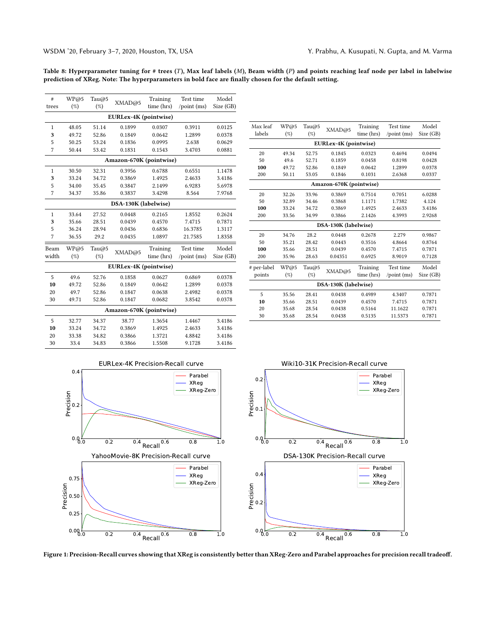<span id="page-11-0"></span>Table 8: Hyperparameter tuning for # trees (T), Max leaf labels (M), Beam width (P) and points reaching leaf node per label in labelwise prediction of XReg. Note: The hyperparameters in bold face are finally chosen for the default setting.

| #            | WP@5   | Tau $@5$ |                         | Training   | Test time             | Model     |
|--------------|--------|----------|-------------------------|------------|-----------------------|-----------|
| trees        | (%)    | (%)      | XMAD@5                  | time (hrs) | $\gamma$ point $(ms)$ | Size (GB) |
|              |        |          | EURLex-4K (pointwise)   |            |                       |           |
| 1            | 48.05  | 51.14    | 0.1899                  | 0.0307     | 0.3911                | 0.0125    |
| 3            | 49.72  | 52.86    | 0.1849                  | 0.0642     | 1.2899                | 0.0378    |
| 5            | 50.25  | 53.24    | 0.1836                  | 0.0995     | 2.638                 | 0.0629    |
| 7            | 50.44  | 53.42    | 0.1831                  | 0.1543     | 3.4703                | 0.0881    |
|              |        |          | Amazon-670K (pointwise) |            |                       |           |
| $\mathbf{1}$ | 30.50  | 32.31    | 0.3956                  | 0.6788     | 0.6551                | 1.1478    |
| 3            | 33.24  | 34.72    | 0.3869                  | 1.4925     | 2.4633                | 3.4186    |
| 5            | 34.00  | 35.45    | 0.3847                  | 2.1499     | 6.9283                | 5.6978    |
| 7            | 34.37  | 35.86    | 0.3837                  | 3.4298     | 8.564                 | 7.9768    |
|              |        |          | DSA-130K (labelwise)    |            |                       |           |
| $\mathbf{1}$ | 33.64  | 27.52    | 0.0448                  | 0.2165     | 1.8552                | 0.2624    |
| 3            | 35.66  | 28.51    | 0.0439                  | 0.4570     | 7.4715                | 0.7871    |
| 5            | 36.24  | 28.94    | 0.0436                  | 0.6836     | 16.3785               | 1.3117    |
| 7            | 36.55  | 29.2     | 0.0435                  | 1.0897     | 21.7585               | 1.8358    |
| Beam         | WP@5   | Tau $@5$ |                         | Training   | Test time             | Model     |
| width        | $(\%)$ | $(\%)$   | XMAD@5                  | time (hrs) | /point (ms)           | Size (GB) |
|              |        |          | EURLex-4K (pointwise)   |            |                       |           |
| 5            | 49.6   | 52.76    | 0.1858                  | 0.0627     | 0.6869                | 0.0378    |
| 10           | 49.72  | 52.86    | 0.1849                  | 0.0642     | 1.2899                | 0.0378    |
| 20           | 49.7   | 52.86    | 0.1847                  | 0.0638     | 2.4982                | 0.0378    |
| 30           | 49.71  | 52.86    | 0.1847                  | 0.0682     | 3.8542                | 0.0378    |
|              |        |          | Amazon-670K (pointwise) |            |                       |           |
| 5            | 32.77  | 34.37    | 38.77                   | 1.3654     | 1.4467                | 3.4186    |
| 10           | 33.24  | 34.72    | 0.3869                  | 1.4925     | 2.4633                | 3.4186    |
| 20           | 33.38  | 34.82    | 0.3866                  | 1.3721     | 4.8842                | 3.4186    |
| 30           | 33.4   | 34.83    | 0.3866                  | 1.5508     | 9.1728                | 3.4186    |

| Max leaf             | WP@5  | Tau $@5$ |                         | Training   | Test time             | Model     |  |  |  |
|----------------------|-------|----------|-------------------------|------------|-----------------------|-----------|--|--|--|
| labels               | (%)   | $(\%)$   | XMAD@5                  | time (hrs) | $\gamma$ point (ms)   | Size (GB) |  |  |  |
|                      |       |          | EURLex-4K (pointwise)   |            |                       |           |  |  |  |
| 20                   | 49.34 | 52.75    | 0.1845                  | 0.0323     | 0.4694                | 0.0494    |  |  |  |
| 50                   | 49.6  | 52.71    | 0.1859                  | 0.0458     | 0.8198                | 0.0428    |  |  |  |
| 100                  | 49.72 | 52.86    | 0.1849                  | 0.0642     | 1.2899                | 0.0378    |  |  |  |
| 200                  | 50.11 | 53.05    | 0.1846                  | 0.1031     | 2.6368                | 0.0337    |  |  |  |
|                      |       |          | Amazon-670K (pointwise) |            |                       |           |  |  |  |
| 20                   | 32.26 | 33.96    | 0.3869                  | 0.7514     | 0.7051                | 6.0288    |  |  |  |
| 50                   | 32.89 | 34.46    | 0.3868                  | 1.1171     | 1.7382                | 4.124     |  |  |  |
| 100                  | 33.24 | 34.72    | 0.3869                  | 1.4925     | 2.4633                | 3.4186    |  |  |  |
| 200                  | 33.56 | 34.99    | 0.3866                  | 2.1426     | 4.3993                | 2.9268    |  |  |  |
| DSA-130K (labelwise) |       |          |                         |            |                       |           |  |  |  |
| 20                   | 34.76 | 28.2     | 0.0448                  | 0.2678     | 2.279                 | 0.9867    |  |  |  |
| 50                   | 35.21 | 28.42    | 0.0443                  | 0.3516     | 4.8664                | 0.8764    |  |  |  |
| 100                  | 35.66 | 28.51    | 0.0439                  | 0.4570     | 7.4715                | 0.7871    |  |  |  |
| 200                  | 35.96 | 28.63    | 0.04351                 | 0.6925     | 8.9019                | 0.7128    |  |  |  |
| # per-label          | WP@5  | Tau $@5$ |                         | Training   | Test time             | Model     |  |  |  |
| points               | (%)   | (%)      | XMAD@5                  | time (hrs) | $\gamma$ point $(ms)$ | Size (GB) |  |  |  |
| DSA-130K (labelwise) |       |          |                         |            |                       |           |  |  |  |
| 5                    | 35.56 | 28.41    | 0.0438                  | 0.4989     | 4.3407                | 0.7871    |  |  |  |
| 10                   | 35.66 | 28.51    | 0.0439                  | 0.4570     | 7.4715                | 0.7871    |  |  |  |
| 20                   | 35.68 | 28.54    | 0.0438                  | 0.5164     | 11.1622               | 0.7871    |  |  |  |
| 30                   | 35.68 | 28.54    | 0.0438                  | 0.5135     | 11.5373               | 0.7871    |  |  |  |
|                      |       |          |                         |            |                       |           |  |  |  |





Figure 1: Precision-Recall curves showing that XReg is consistently better than XReg-Zero and Parabel approaches for precision recall tradeoff.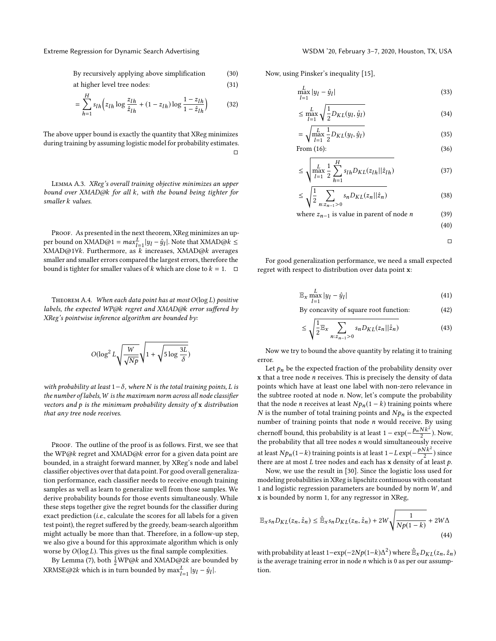By recursively applying above simplification (30)

at higher level tree nodes: (31)

$$
= \sum_{h=1}^{H} s_{lh} \left( z_{lh} \log \frac{z_{lh}}{\hat{z}_{lh}} + (1 - z_{lh}) \log \frac{1 - z_{lh}}{1 - \hat{z}_{lh}} \right) \tag{32}
$$

The above upper bound is exactly the quantity that XReg minimizes during training by assuming logistic model for probability estimates. □

Lemma A.3. XReg's overall training objective minimizes an upper bound over XMAD@k for all k, with the bound being tighter for smaller k values.

PROOF. As presented in the next theorem, XReg minimizes an upper bound on XMAD@1 =  $max_{l=1}^{L} |y_l - \hat{y}_l|$ . Note that XMAD@k ≤<br>XMAD@1∀k.\_Furthermore.\_as\_k\_increases.\_XMAD@k\_averages XMAD@1∀k. Furthermore, as  $k$  increases, XMAD@k averages smaller and smaller errors compared the largest errors, therefore the bound is tighter for smaller values of k which are close to  $k = 1$ .  $\Box$ 

THEOREM A.4. When each data point has at most  $O(\log L)$  positive labels, the expected WP@k regret and XMAD@k error suffered by XReg's pointwise inference algorithm are bounded by:

$$
O(\log^2 L \sqrt{\frac{W}{\sqrt{Np}}} \sqrt{1 + \sqrt{5 \log \frac{3L}{\delta}}})
$$

with probability at least  $1-\delta$ , where N is the total training points, L is the number of labels, W is the maximum norm across all node classifier vectors and  $p$  is the minimum probability density of  $x$  distribution that any tree node receives.

PROOF. The outline of the proof is as follows. First, we see that the WP@k regret and XMAD@k error for a given data point are bounded, in a straight forward manner, by XReg's node and label classifier objectives over that data point. For good overall generalization performance, each classifier needs to receive enough training samples as well as learn to generalize well from those samples. We derive probability bounds for those events simultaneously. While these steps together give the regret bounds for the classifier during exact prediction (i.e., calculate the scores for all labels for a given test point), the regret suffered by the greedy, beam-search algorithm might actually be more than that. Therefore, in a follow-up step, we also give a bound for this approximate algorithm which is only worse by  $O(\log L)$ . This gives us the final sample complexities.

By Lemma [\(7\)](#page-9-0), both  $\frac{1}{2}WP@k$  and XMAD@2k are bounded by XRMSE@2k which is in turn bounded by  $\max_{l=1}^{L} |y_l - \hat{y}_l|$ .

Now, using Pinsker's inequality [\[15\]](#page-8-67),

$$
\lim_{l=1}^{L} |y_l - \hat{y}_l|
$$
\n(33)

$$
\leq \max_{l=1}^{L} \sqrt{\frac{1}{2} D_{KL}(y_l, \hat{y}_l)}
$$
(34)

$$
= \sqrt{\max_{l=1}^{L} \frac{1}{2} D_{KL}(y_l, \hat{y}_l)}
$$
(35)

$$
From (16): \t(36)
$$

$$
\leq \sqrt{\max_{l=1}^{L} \frac{1}{2} \sum_{h=1}^{H} s_{lh} D_{KL}(z_{lh} || \hat{z}_{lh})}
$$
(37)

$$
\leq \sqrt{\frac{1}{2} \sum_{n:z_{n-1}>0} s_n D_{KL}(z_n || \hat{z}_n)}
$$
(38)

where 
$$
z_{n-1}
$$
 is value in parent of node *n* (39)

$$
(40)
$$

$$
\qquad \qquad \Box
$$

For good generalization performance, we need a small expected regret with respect to distribution over data point x:

$$
\mathbb{E}_x \max_{l=1}^{L} |y_l - \hat{y}_l|
$$
 (41)  
By concavity of square root function: (42)

$$
\leq \sqrt{\frac{1}{2} \mathbb{E}_x \sum_{n:z_{n-1}>0} s_n D_{KL}(z_n || \hat{z}_n)}
$$
(43)

Now we try to bound the above quantity by relating it to training error.

Let  $p_n$  be the expected fraction of the probability density over  $x$  that a tree node  $n$  receives. This is precisely the density of data points which have at least one label with non-zero relevance in the subtree rooted at node n. Now, let's compute the probability that the node *n* receives at least  $Np_n(1 - k)$  training points where  $N$  is the number of total training points and  $Np_n$  is the expected number of training points that node  $n$  would receive. By using chernoff bound, this probability is at least  $1 - \exp(-\frac{p_n N k^2}{2})$ . Now, the probability that all tree nodes  $n$  would simultaneously receive at least  $Np_n(1-k)$  training points is at least  $1 - L \exp(-\frac{pNk^2}{2})$  since there are at most  $L$  tree nodes and each has  $x$  density of at least  $p$ .

Now, we use the result in [\[30\]](#page-8-68). Since the logistic loss used for modeling probabilities in XReg is lipschitz continuous with constant 1 and logistic regression parameters are bounded by norm  $W$ , and x is bounded by norm 1, for any regressor in XReg,

$$
\mathbb{E}_{x}s_{n}D_{KL}(z_{n},\hat{z}_{n}) \leq \hat{\mathbb{E}}_{x}s_{n}D_{KL}(z_{n},\hat{z}_{n}) + 2W\sqrt{\frac{1}{Np(1-k)}} + 2W\Delta
$$
\n(44)

with probability at least  $1-\exp(-2Np(1-k)\Delta^2)$  where  $\hat{\mathbb{E}}_X D_{KL}(z_n, \hat{z}_n)$  is the average training error in node n which is 0 as per our assumpis the average training error in node  $n$  which is 0 as per our assumption.